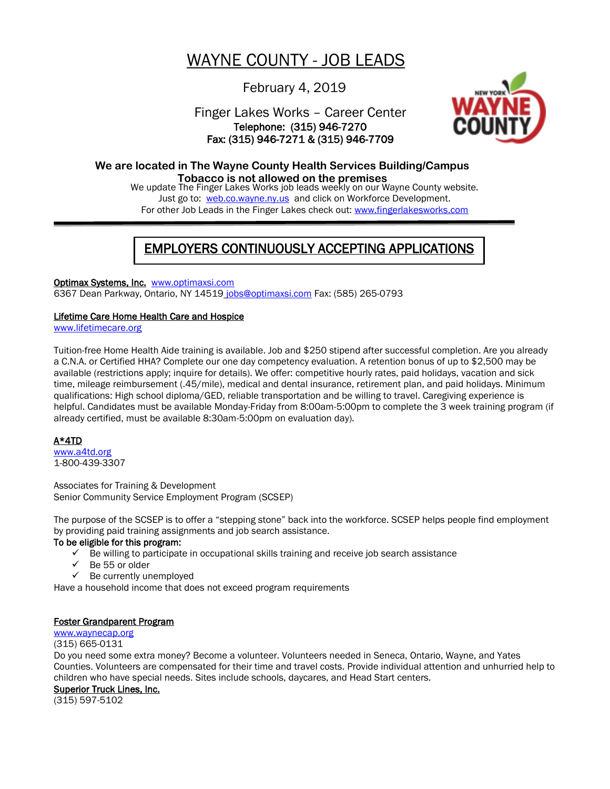# WAYNE COUNTY - JOB LEADS

# February 4, 2019

# Finger Lakes Works – Career Center Telephone: (315) 946-7270 Fax: (315) 946-7271 & (315) 946-7709



# **We are located in The Wayne County Health Services Building/Campus**

We update The Finger Lakes Works job leads weekly on our Wayne County website. Just go to: [web.co.wayne.ny.us](http://www.co.wayne.ny.us/) and click on Workforce Development. For other Job Leads in the Finger Lakes check out: [www.fingerlakesworks.com](http://www.fingerlakesworks.com/) **Tobacco is not allowed on the premises**

# EMPLOYERS CONTINUOUSLY ACCEPTING APPLICATIONS

## Optimax Systems, Inc. [www.optimaxsi.com](http://www.optimaxsi.com/)

6367 Dean Parkway, Ontario, NY 14519 [jobs@optimaxsi.com](mailto:jobs@optimaxsi.com) Fax: (585) 265-0793

#### Lifetime Care Home Health Care and Hospice

[www.lifetimecare.org](http://www.lifetimecare.org/)

Tuition-free Home Health Aide training is available. Job and \$250 stipend after successful completion. Are you already a C.N.A. or Certified HHA? Complete our one day competency evaluation. A retention bonus of up to \$2,500 may be available (restrictions apply; inquire for details). We offer: competitive hourly rates, paid holidays, vacation and sick time, mileage reimbursement (.45/mile), medical and dental insurance, retirement plan, and paid holidays. Minimum qualifications: High school diploma/GED, reliable transportation and be willing to travel. Caregiving experience is helpful. Candidates must be available Monday-Friday from 8:00am-5:00pm to complete the 3 week training program (if already certified, must be available 8:30am-5:00pm on evaluation day).

## A\*4TD

[www.a4td.org](http://www.experienceworks.org/) 1-800-439-3307

Associates for Training & Development Senior Community Service Employment Program (SCSEP)

The purpose of the SCSEP is to offer a "stepping stone" back into the workforce. SCSEP helps people find employment by providing paid training assignments and job search assistance.

#### To be eligible for this program:

- Be willing to participate in occupational skills training and receive job search assistance
- $\checkmark$  Be 55 or older
- $\checkmark$  Be currently unemployed

Have a household income that does not exceed program requirements

#### Foster Grandparent Program

#### [www.waynecap.org](http://www.waynecap.org/) (315) 665-0131

Do you need some extra money? Become a volunteer. Volunteers needed in Seneca, Ontario, Wayne, and Yates Counties. Volunteers are compensated for their time and travel costs. Provide individual attention and unhurried help to children who have special needs. Sites include schools, daycares, and Head Start centers.

Superior Truck Lines, Inc.

(315) 597-5102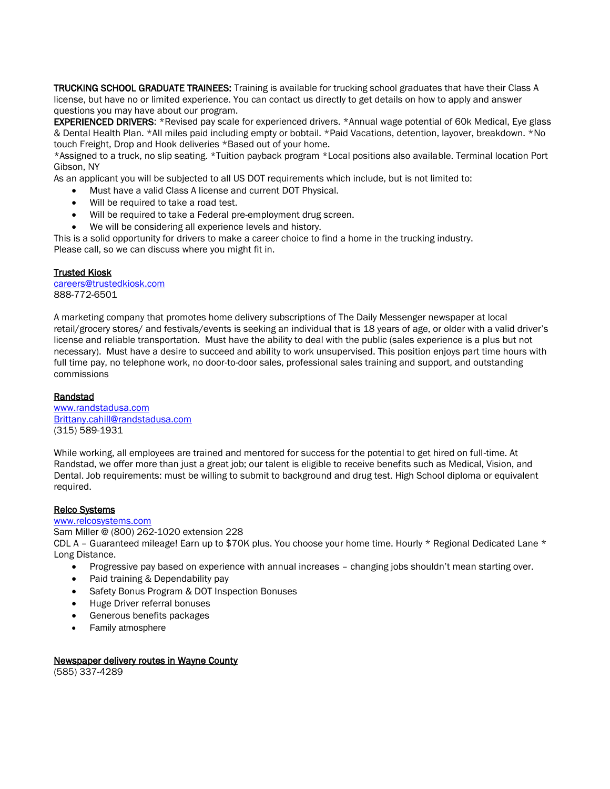TRUCKING SCHOOL GRADUATE TRAINEES: Training is available for trucking school graduates that have their Class A license, but have no or limited experience. You can contact us directly to get details on how to apply and answer questions you may have about our program.

EXPERIENCED DRIVERS: \*Revised pay scale for experienced drivers. \*Annual wage potential of 60k Medical, Eye glass & Dental Health Plan. \*All miles paid including empty or bobtail. \*Paid Vacations, detention, layover, breakdown. \*No touch Freight, Drop and Hook deliveries \*Based out of your home.

\*Assigned to a truck, no slip seating. \*Tuition payback program \*Local positions also available. Terminal location Port Gibson, NY

As an applicant you will be subjected to all US DOT requirements which include, but is not limited to:

- Must have a valid Class A license and current DOT Physical.
- Will be required to take a road test.
- Will be required to take a Federal pre-employment drug screen.
- We will be considering all experience levels and history.

This is a solid opportunity for drivers to make a career choice to find a home in the trucking industry. Please call, so we can discuss where you might fit in.

#### Trusted Kiosk

[careers@trustedkiosk.com](mailto:careers@trustedkiosk.com) 888-772-6501

A marketing company that promotes home delivery subscriptions of The Daily Messenger newspaper at local retail/grocery stores/ and festivals/events is seeking an individual that is 18 years of age, or older with a valid driver's license and reliable transportation. Must have the ability to deal with the public (sales experience is a plus but not necessary). Must have a desire to succeed and ability to work unsupervised. This position enjoys part time hours with full time pay, no telephone work, no door-to-door sales, professional sales training and support, and outstanding commissions

#### Randstad

[www.randstadusa.com](http://www.randstadusa.com/) [Brittany.cahill@randstadusa.com](mailto:Brittany.cahill@randstadusa.com) (315) 589-1931

While working, all employees are trained and mentored for success for the potential to get hired on full-time. At Randstad, we offer more than just a great job; our talent is eligible to receive benefits such as Medical, Vision, and Dental. Job requirements: must be willing to submit to background and drug test. High School diploma or equivalent required.

#### Relco Systems

[www.relcosystems.com](http://www.relcosystems.com/)

Sam Miller @ (800) 262-1020 extension 228 CDL A – Guaranteed mileage! Earn up to \$70K plus. You choose your home time. Hourly \* Regional Dedicated Lane \* Long Distance.

- Progressive pay based on experience with annual increases changing jobs shouldn't mean starting over.
- Paid training & Dependability pay
- Safety Bonus Program & DOT Inspection Bonuses
- Huge Driver referral bonuses
- Generous benefits packages
- Family atmosphere

# Newspaper delivery routes in Wayne County

(585) 337-4289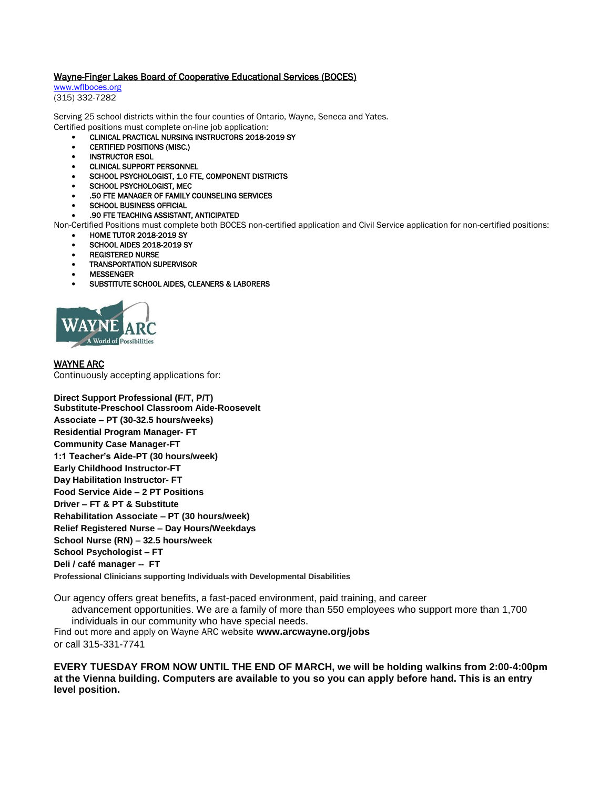#### Wayne-Finger Lakes Board of Cooperative Educational Services (BOCES)

[www.wflboces.org](http://www.wflboces.org/) (315) 332-7282

Serving 25 school districts within the four counties of Ontario, Wayne, Seneca and Yates. Certified positions must complete on-line job application:

- CLINICAL PRACTICAL NURSING INSTRUCTORS 2018-2019 SY
- CERTIFIED POSITIONS (MISC.)
- INSTRUCTOR ESOL
- CLINICAL SUPPORT PERSONNEL
- SCHOOL PSYCHOLOGIST, 1.0 FTE, COMPONENT DISTRICTS
- SCHOOL PSYCHOLOGIST, MEC
- .50 FTE MANAGER OF FAMILY COUNSELING SERVICES
- SCHOOL BUSINESS OFFICIAL

#### .90 FTE TEACHING ASSISTANT, ANTICIPATED

Non-Certified Positions must complete both BOCES non-certified application and Civil Service application for non-certified positions:

- HOME TUTOR 2018-2019 SY
- SCHOOL AIDES 2018-2019 SY
- REGISTERED NURSE
- TRANSPORTATION SUPERVISOR
- MESSENGER
- SUBSTITUTE SCHOOL AIDES, CLEANERS & LABORERS



#### WAYNE ARC

Continuously accepting applications for:

**Direct Support Professional (F/T, P/T) Substitute-Preschool Classroom Aide-Roosevelt Associate – PT (30-32.5 hours/weeks) Residential Program Manager- FT Community Case Manager-FT 1:1 Teacher's Aide-PT (30 hours/week) Early Childhood Instructor-FT Day Habilitation Instructor- FT Food Service Aide – 2 PT Positions Driver – FT & PT & Substitute Rehabilitation Associate – PT (30 hours/week) Relief Registered Nurse – Day Hours/Weekdays School Nurse (RN) – 32.5 hours/week School Psychologist – FT Deli / café manager -- FT**

**Professional Clinicians supporting Individuals with Developmental Disabilities**

Our agency offers great benefits, a fast-paced environment, paid training, and career advancement opportunities. We are a family of more than 550 employees who support more than 1,700 individuals in our community who have special needs. Find out more and apply on Wayne ARC website **www.arcwayne.org/jobs** or call 315-331-7741

**EVERY TUESDAY FROM NOW UNTIL THE END OF MARCH, we will be holding walkins from 2:00-4:00pm at the Vienna building. Computers are available to you so you can apply before hand. This is an entry level position.**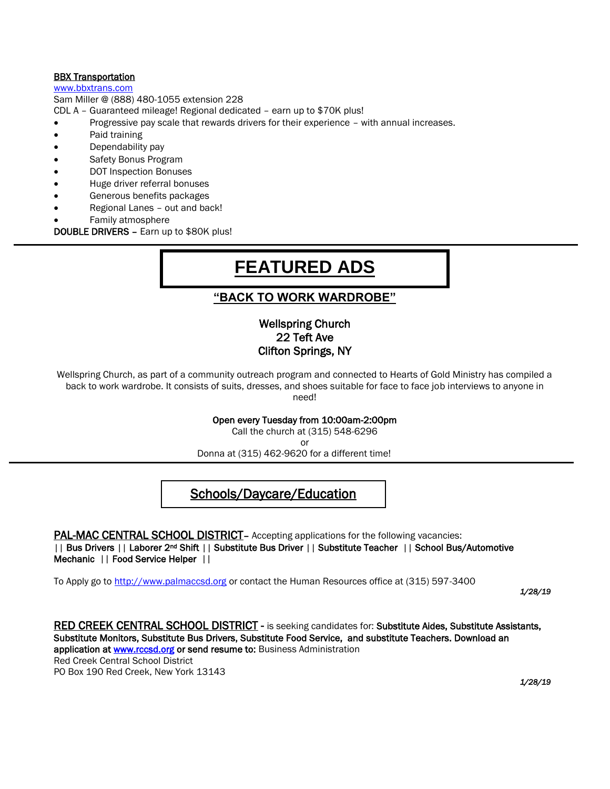## **BBX Transportation**

[www.bbxtrans.com](http://www.bbxtrans.com/)

Sam Miller @ (888) 480-1055 extension 228

CDL A – Guaranteed mileage! Regional dedicated – earn up to \$70K plus!

- Progressive pay scale that rewards drivers for their experience with annual increases.
- Paid training
- Dependability pay
- Safety Bonus Program
- DOT Inspection Bonuses
- Huge driver referral bonuses
- Generous benefits packages
- Regional Lanes out and back!
- Family atmosphere

DOUBLE DRIVERS – Earn up to \$80K plus!

# **FEATURED ADS**

# **"BACK TO WORK WARDROBE"**

# Wellspring Church 22 Teft Ave Clifton Springs, NY

Wellspring Church, as part of a community outreach program and connected to Hearts of Gold Ministry has compiled a back to work wardrobe. It consists of suits, dresses, and shoes suitable for face to face job interviews to anyone in need!

Open every Tuesday from 10:00am-2:00pm

Call the church at (315) 548-6296

or

Donna at (315) 462-9620 for a different time!

# Schools/Daycare/Education

#### PAL-MAC CENTRAL SCHOOL DISTRICT - Accepting applications for the following vacancies: || Bus Drivers || Laborer 2nd Shift || Substitute Bus Driver || Substitute Teacher || School Bus/Automotive Mechanic || Food Service Helper ||

To Apply go to [http://www.palmaccsd.org](http://www.palmaccsd.org/) or contact the Human Resources office at (315) 597-3400

*1/28/19*

RED CREEK CENTRAL SCHOOL DISTRICT - is seeking candidates for: Substitute Aides, Substitute Assistants, Substitute Monitors, Substitute Bus Drivers, Substitute Food Service, and substitute Teachers. Download an application at [www.rccsd.org](http://www.rccsd.org/) or send resume to: Business Administration Red Creek Central School District PO Box 190 Red Creek, New York 13143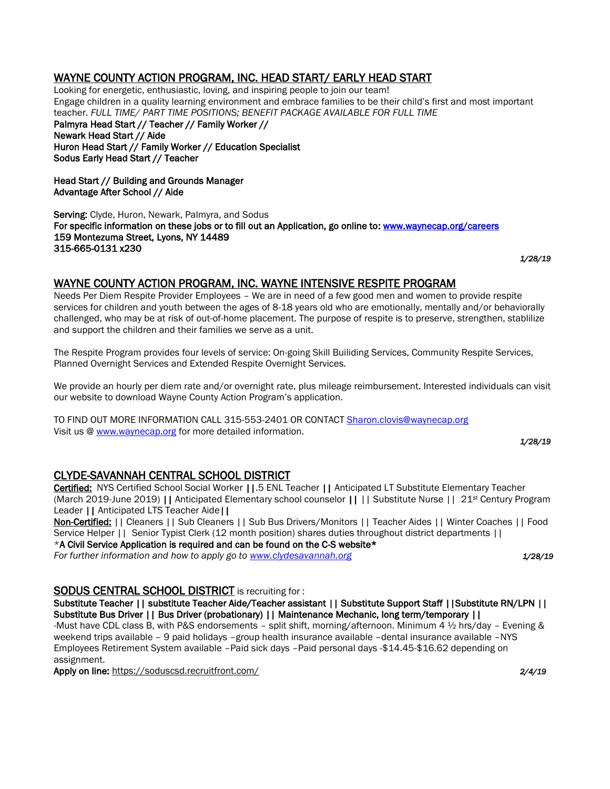# WAYNE COUNTY ACTION PROGRAM, INC. HEAD START/ EARLY HEAD START

Looking for energetic, enthusiastic, loving, and inspiring people to join our team! Engage children in a quality learning environment and embrace families to be their child's first and most important teacher. *FULL TIME/ PART TIME POSITIONS; BENEFIT PACKAGE AVAILABLE FOR FULL TIME* Palmyra Head Start // Teacher // Family Worker // Newark Head Start // Aide Huron Head Start // Family Worker // Education Specialist Sodus Early Head Start // Teacher

Head Start // Building and Grounds Manager Advantage After School // Aide

Serving: Clyde, Huron, Newark, Palmyra, and Sodus For specific information on these jobs or to fill out an Application, go online to[: www.waynecap.org/careers](http://www.waynecap.org/careers)  159 Montezuma Street, Lyons, NY 14489 315-665-0131 x230

*1/28/19* 

# WAYNE COUNTY ACTION PROGRAM, INC. WAYNE INTENSIVE RESPITE PROGRAM

Needs Per Diem Respite Provider Employees – We are in need of a few good men and women to provide respite services for children and youth between the ages of 8-18 years old who are emotionally, mentally and/or behaviorally challenged, who may be at risk of out-of-home placement. The purpose of respite is to preserve, strengthen, stablilize and support the children and their families we serve as a unit.

The Respite Program provides four levels of service: On-going Skill Builiding Services, Community Respite Services, Planned Overnight Services and Extended Respite Overnight Services.

We provide an hourly per diem rate and/or overnight rate, plus mileage reimbursement. Interested individuals can visit our website to download Wayne County Action Program's application.

TO FIND OUT MORE INFORMATION CALL 315-553-2401 OR CONTACT [Sharon.clovis@waynecap.org](mailto:Sharon.clovis@waynecap.org) Visit us [@ www.waynecap.org](http://www.waynecap.org/) for more detailed information.

*1/28/19* 

# CLYDE-SAVANNAH CENTRAL SCHOOL DISTRICT

Certified: NYS Certified School Social Worker ||.5 ENL Teacher || Anticipated LT Substitute Elementary Teacher (March 2019-June 2019) || Anticipated Elementary school counselor || || Substitute Nurse || 21st Century Program Leader || Anticipated LTS Teacher Aide||

Non-Certified: || Cleaners || Sub Cleaners || Sub Bus Drivers/Monitors || Teacher Aides || Winter Coaches || Food Service Helper || Senior Typist Clerk (12 month position) shares duties throughout district departments ||  $*$ A Civil Service Application is required and can be found on the C-S website $*$ 

*For further information and how to apply go to [www.clydesavannah.org](http://www.clydesavannah.org/) 1/28/19*

SODUS CENTRAL SCHOOL DISTRICT is recruiting for :

Substitute Teacher || substitute Teacher Aide/Teacher assistant || Substitute Support Staff ||Substitute RN/LPN || Substitute Bus Driver || Bus Driver (probationary) || Maintenance Mechanic, long term/temporary ||

-Must have CDL class B, with P&S endorsements – split shift, morning/afternoon. Minimum 4 ½ hrs/day – Evening & weekend trips available - 9 paid holidays -group health insurance available -dental insurance available -NYS Employees Retirement System available –Paid sick days –Paid personal days -\$14.45-\$16.62 depending on assignment.

Apply on line:<https://soduscsd.recruitfront.com/> *2/4/19*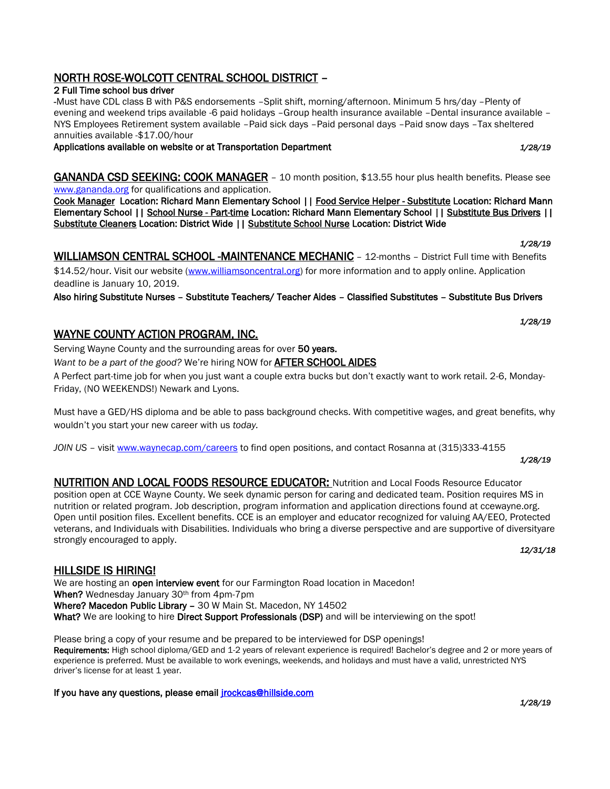# NORTH ROSE-WOLCOTT CENTRAL SCHOOL DISTRICT –

# 2 Full Time school bus driver

-Must have CDL class B with P&S endorsements –Split shift, morning/afternoon. Minimum 5 hrs/day –Plenty of evening and weekend trips available -6 paid holidays –Group health insurance available –Dental insurance available – NYS Employees Retirement system available –Paid sick days –Paid personal days –Paid snow days –Tax sheltered annuities available -\$17.00/hour

# Applications available on website or at Transportation Department *1/28/19*

GANANDA CSD SEEKING: COOK MANAGER – 10 month position, \$13.55 hour plus health benefits. Please see [www.gananda.org](http://www.gananda.org/) for qualifications and application.

[Cook Manager](https://www.gananda.org/apps/jobs/show_job.jsp?REC_ID=29484) Location: Richard Mann Elementary School | [| Food Service Helper - Substitute](https://www.gananda.org/apps/jobs/show_job.jsp?REC_ID=29566) Location: Richard Mann Elementary School | | [School Nurse - Part-time](https://www.gananda.org/apps/jobs/show_job.jsp?REC_ID=28113) Location: Richard Mann Elementary School | | [Substitute Bus Drivers](https://www.gananda.org/apps/jobs/show_job.jsp?REC_ID=26093) | | [Substitute Cleaners](https://www.gananda.org/apps/jobs/show_job.jsp?REC_ID=26097) Location: District Wide || [Substitute School Nurse](https://www.gananda.org/apps/jobs/show_job.jsp?REC_ID=27615) Location: District Wide

# *1/28/19*  WILLIAMSON CENTRAL SCHOOL -MAINTENANCE MECHANIC – 12-months – District Full time with Benefits

\$14.52/hour. Visit our website [\(www.williamsoncentral.org\)](http://www.williamsoncentral.org/) for more information and to apply online. Application deadline is January 10, 2019.

Also hiring Substitute Nurses – Substitute Teachers/ Teacher Aides – Classified Substitutes – Substitute Bus Drivers

# WAYNE COUNTY ACTION PROGRAM, INC.

Serving Wayne County and the surrounding areas for over 50 years.

*Want to be a part of the good?* We're hiring NOW for AFTER SCHOOL AIDES

A Perfect part-time job for when you just want a couple extra bucks but don't exactly want to work retail. 2-6, Monday-Friday, (NO WEEKENDS!) Newark and Lyons.

Must have a GED/HS diploma and be able to pass background checks. With competitive wages, and great benefits, why wouldn't you start your new career with us *today.*

*JOIN US –* visi[t www.waynecap.com/careers](http://www.waynecap.com/careers) to find open positions, and contact Rosanna at (315)333-4155

NUTRITION AND LOCAL FOODS RESOURCE EDUCATOR: Nutrition and Local Foods Resource Educator position open at CCE Wayne County. We seek dynamic person for caring and dedicated team. Position requires MS in nutrition or related program. Job description, program information and application directions found at ccewayne.org. Open until position files. Excellent benefits. CCE is an employer and educator recognized for valuing AA/EEO, Protected veterans, and Individuals with Disabilities. Individuals who bring a diverse perspective and are supportive of diversityare strongly encouraged to apply. *12/31/18* 

# HILLSIDE IS HIRING!

We are hosting an open interview event for our Farmington Road location in Macedon! When? Wednesday January 30<sup>th</sup> from 4pm-7pm Where? Macedon Public Library - 30 W Main St. Macedon, NY 14502 What? We are looking to hire Direct Support Professionals (DSP) and will be interviewing on the spot!

Please bring a copy of your resume and be prepared to be interviewed for DSP openings! Requirements: High school diploma/GED and 1-2 years of relevant experience is required! Bachelor's degree and 2 or more years of experience is preferred. Must be available to work evenings, weekends, and holidays and must have a valid, unrestricted NYS driver's license for at least 1 year.

If you have any questions, please email *irockcas@hillside.com 1/28/19*

#### *1/28/19*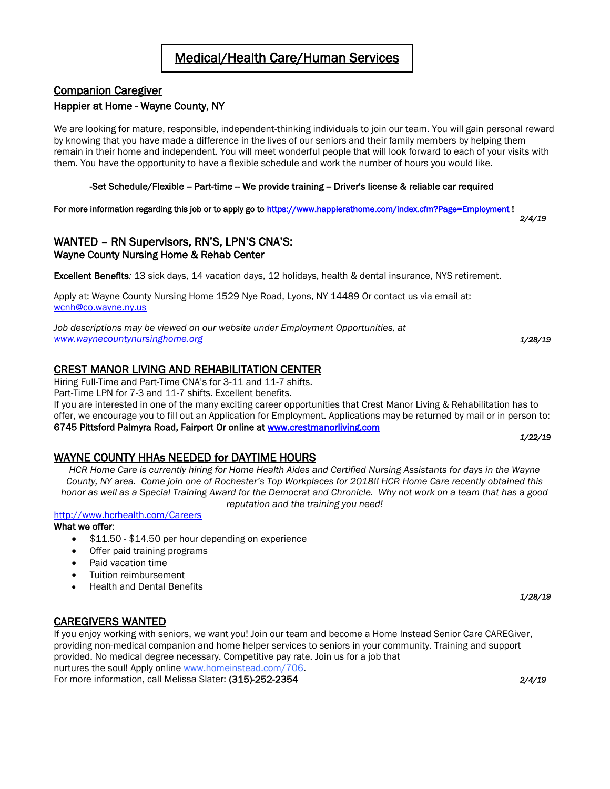# Companion Caregiver

### Happier at Home - Wayne County, NY

We are looking for mature, responsible, independent-thinking individuals to join our team. You will gain personal reward by knowing that you have made a difference in the lives of our seniors and their family members by helping them remain in their home and independent. You will meet wonderful people that will look forward to each of your visits with them. You have the opportunity to have a flexible schedule and work the number of hours you would like.

#### -Set Schedule/Flexible -- Part-time -- We provide training -- Driver's license & reliable car required

For more information regarding this job or to apply go to [https://www.happierathome.com/index.cfm?Page=Employment !](https://www.happierathome.com/index.cfm?Page=Employment)

WANTED – RN Supervisors, RN'S, LPN'S CNA'S: Wayne County Nursing Home & Rehab Center

Excellent Benefits*:* 13 sick days, 14 vacation days, 12 holidays, health & dental insurance, NYS retirement.

Apply at: Wayne County Nursing Home 1529 Nye Road, Lyons, NY 14489 Or contact us via email at: [wcnh@co.wayne.ny.us](mailto:wcnh@co.wayne.ny.us)

*Job descriptions may be viewed on our website under Employment Opportunities, at [www.waynecountynursinghome.org](http://www.waynecountynursinghome.org/) 1/28/19*

# CREST MANOR LIVING AND REHABILITATION CENTER

Hiring Full-Time and Part-Time CNA's for 3-11 and 11-7 shifts.

Part-Time LPN for 7-3 and 11-7 shifts. Excellent benefits.

If you are interested in one of the many exciting career opportunities that Crest Manor Living & Rehabilitation has to offer, we encourage you to fill out an Application for Employment. Applications may be returned by mail or in person to: 6745 Pittsford Palmyra Road, Fairport Or online at [www.crestmanorliving.com](http://www.crestmanorliving.com/)  *1/22/19*

#### WAYNE COUNTY HHAs NEEDED for DAYTIME HOURS

*HCR Home Care is currently hiring for Home Health Aides and Certified Nursing Assistants for days in the Wayne County, NY area. Come join one of Rochester's Top Workplaces for 2018!! HCR Home Care recently obtained this honor as well as a Special Training Award for the Democrat and Chronicle. Why not work on a team that has a good reputation and the training you need!*

## <http://www.hcrhealth.com/Careers>

#### What we offer:

- $$11.50 $14.50$  per hour depending on experience
- Offer paid training programs
- Paid vacation time
- Tuition reimbursement
- Health and Dental Benefits

## CAREGIVERS WANTED

If you enjoy working with seniors, we want you! Join our team and become a Home Instead Senior Care CAREGiver, providing non-medical companion and home helper services to seniors in your community. Training and support provided. No medical degree necessary. Competitive pay rate. Join us for a job that nurtures the soul! Apply online [www.homeinstead.com/706.](http://www.homeinstead.com/706)

For more information, call Melissa Slater: (315)-252-2354 *2/4/19* 

*1/28/19*

*2/4/19*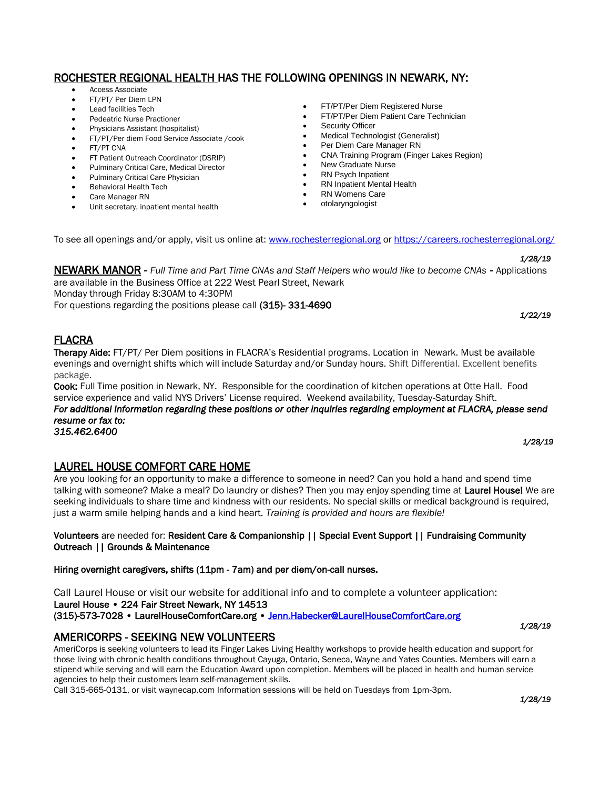# ROCHESTER REGIONAL HEALTH HAS THE FOLLOWING OPENINGS IN NEWARK, NY:

- Access Associate
- FT/PT/ Per Diem LPN
- Lead facilities Tech
- Pedeatric Nurse Practioner
- Physicians Assistant (hospitalist)
- FT/PT/Per diem Food Service Associate /cook
- FT/PT CNA
- FT Patient Outreach Coordinator (DSRIP)
- Pulminary Critical Care, Medical Director
- Pulminary Critical Care Physician
- Behavioral Health Tech
- Care Manager RN
- Unit secretary, inpatient mental health
- FT/PT/Per Diem Registered Nurse **•** FT/PT/Per Diem Patient Care Technician
- **•** Security Officer
- Medical Technologist (Generalist)
- Per Diem Care Manager RN
- CNA Training Program (Finger Lakes Region)
- New Graduate Nurse
- RN Psych Inpatient
- RN Inpatient Mental Health
- RN Womens Care
- otolaryngologist

To see all openings and/or apply, visit us online at: [www.rochesterregional.org](http://www.rochesterregional.org/) o[r https://careers.rochesterregional.org/](https://careers.rochesterregional.org/)

#### *1/28/19*

NEWARK MANOR - *Full Time and Part Time CNAs and Staff Helpers who would like to become CNAs* - Applications are available in the Business Office at 222 West Pearl Street, Newark

Monday through Friday 8:30AM to 4:30PM

For questions regarding the positions please call (315)- 331-4690 *1/22/19*

# FLACRA

Therapy Aide: FT/PT/ Per Diem positions in FLACRA's Residential programs. Location in Newark. Must be available evenings and overnight shifts which will include Saturday and/or Sunday hours. Shift Differential. Excellent benefits package.

Cook: Full Time position in Newark, NY. Responsible for the coordination of kitchen operations at Otte Hall. Food service experience and valid NYS Drivers' License required. Weekend availability, Tuesday-Saturday Shift.

*For additional information regarding these positions or other inquiries regarding employment at FLACRA, please send resume or fax to:* 

#### *315.462.6400*

LAUREL HOUSE COMFORT CARE HOME

Are you looking for an opportunity to make a difference to someone in need? Can you hold a hand and spend time talking with someone? Make a meal? Do laundry or dishes? Then you may enjoy spending time at Laurel House! We are seeking individuals to share time and kindness with our residents. No special skills or medical background is required, just a warm smile helping hands and a kind heart. *Training is provided and hours are flexible!*

#### Volunteers are needed for: Resident Care & Companionship || Special Event Support || Fundraising Community Outreach || Grounds & Maintenance

Hiring overnight caregivers, shifts (11pm - 7am) and per diem/on-call nurses.

Call Laurel House or visit our website for additional info and to complete a volunteer application: Laurel House • 224 Fair Street Newark, NY 14513 (315)-573-7028 • LaurelHouseComfortCare.org • [Jenn.Habecker@LaurelHouseComfortCare.org](mailto:Jenn.Habecker@LaurelHouseComfortCare.org)  *1/28/19*

# AMERICORPS - SEEKING NEW VOLUNTEERS

AmeriCorps is seeking volunteers to lead its Finger Lakes Living Healthy workshops to provide health education and support for those living with chronic health conditions throughout Cayuga, Ontario, Seneca, Wayne and Yates Counties. Members will earn a stipend while serving and will earn the Education Award upon completion. Members will be placed in health and human service agencies to help their customers learn self-management skills.

Call 315-665-0131, or visit waynecap.com Information sessions will be held on Tuesdays from 1pm-3pm.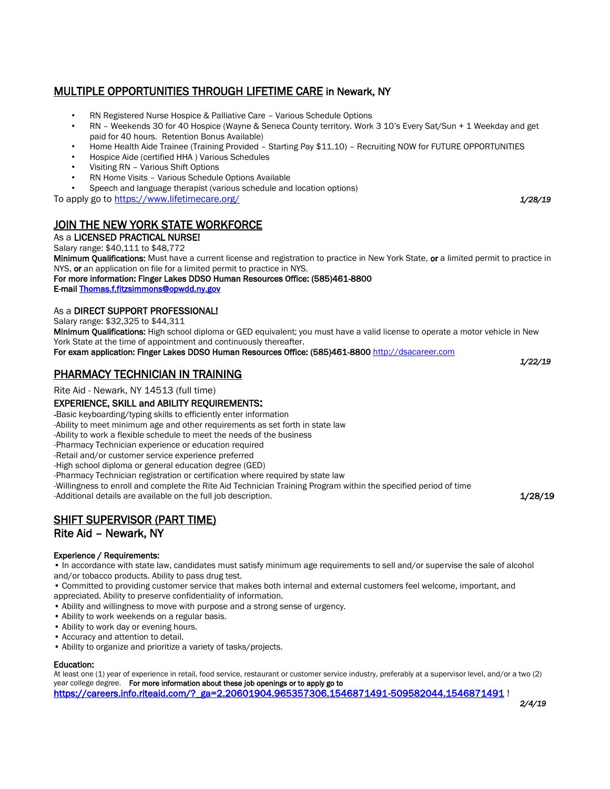# MULTIPLE OPPORTUNITIES THROUGH LIFETIME CARE in Newark, NY

- RN Registered Nurse Hospice & Palliative Care Various Schedule Options
- RN Weekends 30 for 40 Hospice (Wayne & Seneca County territory. Work 3 10's Every Sat/Sun + 1 Weekday and get paid for 40 hours. Retention Bonus Available)
- Home Health Aide Trainee (Training Provided Starting Pay \$11.10) Recruiting NOW for FUTURE OPPORTUNITIES
- Hospice Aide (certified HHA ) Various Schedules
- Visiting RN Various Shift Options
- RN Home Visits Various Schedule Options Available
- Speech and language therapist (various schedule and location options)

To apply go to<https://www.lifetimecare.org/> *1/28/19*

# JOIN THE NEW YORK STATE WORKFORCE

# As a LICENSED PRACTICAL NURSE!

Salary range: \$40,111 to \$48,772

Minimum Qualifications: Must have a current license and registration to practice in New York State, or a limited permit to practice in NYS, or an application on file for a limited permit to practice in NYS.

For more information: Finger Lakes DDSO Human Resources Office: (585)461-8800

E-mai[l Thomas.f.fitzsimmons@opwdd.ny.gov](mailto:Thomas.f.fitzsimmons@opwdd.ny.gov) 

#### As a DIRECT SUPPORT PROFESSIONAL!

Salary range: \$32,325 to \$44,311

Minimum Qualifications: High school diploma or GED equivalent; you must have a valid license to operate a motor vehicle in New York State at the time of appointment and continuously thereafter.

For exam application: Finger Lakes DDSO Human Resources Office: (585)461-880[0 http://dsacareer.com](http://dsacareer.com/)

# PHARMACY TECHNICIAN IN TRAINING

Rite Aid - Newark, NY 14513 (full time)

#### EXPERIENCE, SKILL and ABILITY REQUIREMENTS:

-Basic keyboarding/typing skills to efficiently enter information

-Ability to meet minimum age and other requirements as set forth in state law

-Ability to work a flexible schedule to meet the needs of the business

-Pharmacy Technician experience or education required

-Retail and/or customer service experience preferred

-High school diploma or general education degree (GED)

-Pharmacy Technician registration or certification where required by state law

-Willingness to enroll and complete the Rite Aid Technician Training Program within the specified period of time

-Additional details are available on the full job description. The same of the same of the same of the same of  $1/28/19$ 

# SHIFT SUPERVISOR (PART TIME)

# Rite Aid – Newark, NY

#### Experience / Requirements:

• In accordance with state law, candidates must satisfy minimum age requirements to sell and/or supervise the sale of alcohol and/or tobacco products. Ability to pass drug test.

• Committed to providing customer service that makes both internal and external customers feel welcome, important, and appreciated. Ability to preserve confidentiality of information.

- Ability and willingness to move with purpose and a strong sense of urgency.
- Ability to work weekends on a regular basis.
- Ability to work day or evening hours.
- Accuracy and attention to detail.
- Ability to organize and prioritize a variety of tasks/projects.

#### Education:

At least one (1) year of experience in retail, food service, restaurant or customer service industry, preferably at a supervisor level, and/or a two (2) year college degree. For more information about these job openings or to apply go to [https://careers.info.riteaid.com/?\\_ga=2.20601904.965357306.1546871491-509582044.1546871491](https://careers.info.riteaid.com/?_ga=2.20601904.965357306.1546871491-509582044.1546871491) !

*1/22/19*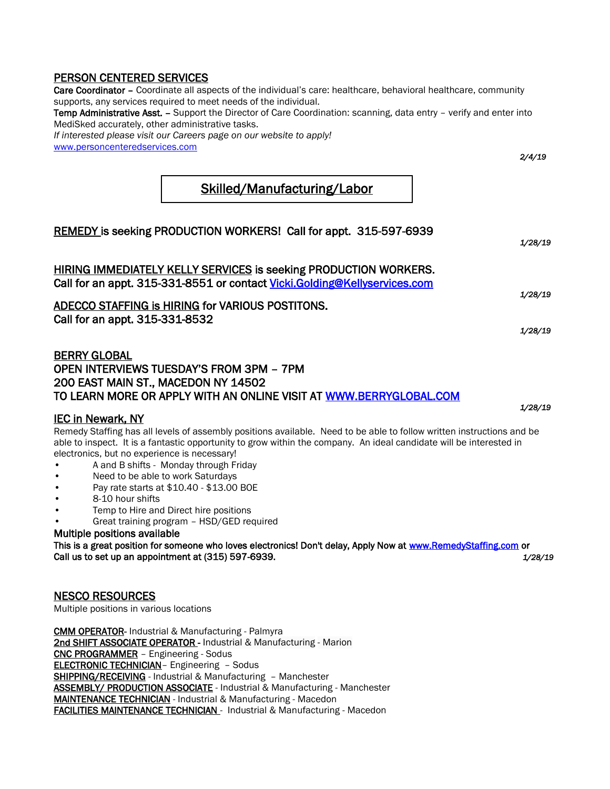# PERSON CENTERED SERVICES

Care Coordinator - Coordinate all aspects of the individual's care: healthcare, behavioral healthcare, community supports, any services required to meet needs of the individual. Temp Administrative Asst. - Support the Director of Care Coordination: scanning, data entry - verify and enter into MediSked accurately, other administrative tasks. *If interested please visit our Careers page on our website to apply!* [www.personcenteredservices.com](http://www.personcenteredservices.com/) *2/4/19* 

# Skilled/Manufacturing/Labor

| REMEDY is seeking PRODUCTION WORKERS! Call for appt. 315-597-6939                                                                                                                                                                                                                                                                                                                                                                                                                                                                                                                              | 1/28/19 |
|------------------------------------------------------------------------------------------------------------------------------------------------------------------------------------------------------------------------------------------------------------------------------------------------------------------------------------------------------------------------------------------------------------------------------------------------------------------------------------------------------------------------------------------------------------------------------------------------|---------|
| <b>HIRING IMMEDIATELY KELLY SERVICES is seeking PRODUCTION WORKERS.</b><br>Call for an appt. 315-331-8551 or contact Vicki. Golding@Kellyservices.com                                                                                                                                                                                                                                                                                                                                                                                                                                          |         |
| ADECCO STAFFING is HIRING for VARIOUS POSTITONS.<br>Call for an appt. 315-331-8532                                                                                                                                                                                                                                                                                                                                                                                                                                                                                                             | 1/28/19 |
| <b>BERRY GLOBAL</b><br>OPEN INTERVIEWS TUESDAY'S FROM 3PM - 7PM                                                                                                                                                                                                                                                                                                                                                                                                                                                                                                                                | 1/28/19 |
| 200 EAST MAIN ST., MACEDON NY 14502<br>TO LEARN MORE OR APPLY WITH AN ONLINE VISIT AT WWW.BERRYGLOBAL.COM                                                                                                                                                                                                                                                                                                                                                                                                                                                                                      |         |
| <b>IEC in Newark, NY</b><br>Remedy Staffing has all levels of assembly positions available. Need to be able to follow written instructions and be<br>able to inspect. It is a fantastic opportunity to grow within the company. An ideal candidate will be interested in<br>electronics, but no experience is necessary!<br>A and B shifts - Monday through Friday<br>Need to be able to work Saturdays<br>Pay rate starts at \$10.40 - \$13.00 BOE<br>8-10 hour shifts<br>Temp to Hire and Direct hire positions<br>Great training program - HSD/GED required<br>Multiple positions available | 1/28/19 |
| This is a great position for someone who loves electronics! Don't delay, Apply Now at www.RemedyStaffing.com or<br>Call us to set up an appointment at (315) 597-6939.                                                                                                                                                                                                                                                                                                                                                                                                                         | 1/28/19 |
| <b>NESCO RESOURCES</b><br>Multiple positions in various locations                                                                                                                                                                                                                                                                                                                                                                                                                                                                                                                              |         |

[CMM OPERATOR- Industrial](https://nescoresource.com/jobsearch/job-details/cmm-operator/11687281/1/JobDiva/) & Manufacturing - Palmyra [2nd SHIFT ASSOCIATE OPERATOR - Industrial](https://nescoresource.com/jobsearch/job-details/2nd-shift-associate-operator/11714522/1/JobDiva/) & Manufacturing - Marion [CNC PROGRAMMER](https://nescoresource.com/jobsearch/job-details/cnc-programmer/10981387/1/JobDiva/) – Engineering - Sodus ELECTRONIC TECHNICIAN- Engineering - Sodus SHIPPING/RECEIVING - Industrial & Manufacturing - Manchester [ASSEMBLY/ PRODUCTION ASSOCIATE](https://nescoresource.com/jobsearch/job-details/assembly-production-associate/11738525/1/JobDiva/) - Industrial & Manufacturing - Manchester [MAINTENANCE TECHNICIAN](https://nescoresource.com/jobsearch/job-details/maintenance-technician/11687241/1/JobDiva/) - Industrial & Manufacturing - Macedon [FACILITIES MAINTENANCE TECHNICIAN - Industrial](https://nescoresource.com/jobsearch/job-details/facilities-maintenance-technician/11689342/1/JobDiva/) & Manufacturing - Macedon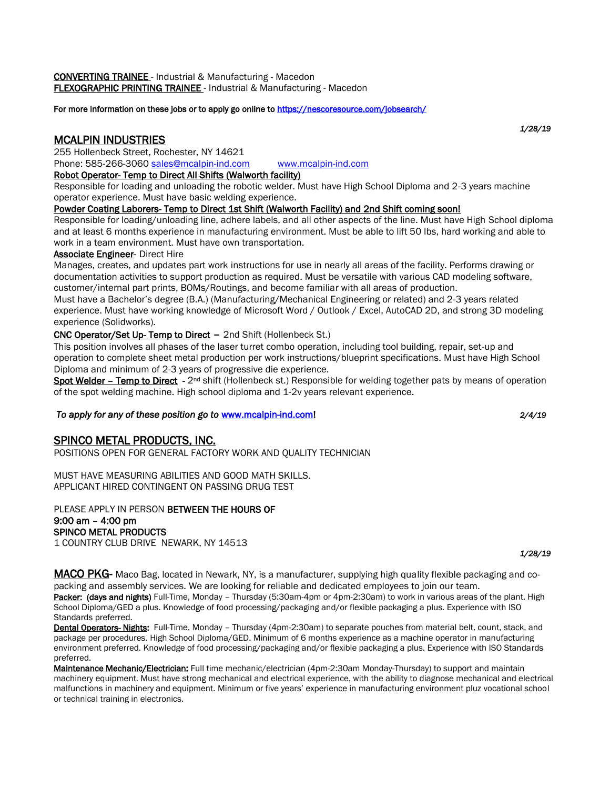For more information on these jobs or to apply go online to https://nescoresource.com/jobsearch/

# MCALPIN INDUSTRIES

255 Hollenbeck Street, Rochester, NY 14621

Phone: 585-266-3060 [sales@mcalpin-ind.com](mailto:sales@mcalpin-ind.com) [www.mcalpin-ind.com](http://www.mcalpin-ind.com/)

#### Robot Operator- Temp to Direct All Shifts (Walworth facility)

Responsible for loading and unloading the robotic welder. Must have High School Diploma and 2-3 years machine operator experience. Must have basic welding experience.

#### Powder Coating Laborers- Temp to Direct 1st Shift (Walworth Facility) and 2nd Shift coming soon!

Responsible for loading/unloading line, adhere labels, and all other aspects of the line. Must have High School diploma and at least 6 months experience in manufacturing environment. Must be able to lift 50 lbs, hard working and able to work in a team environment. Must have own transportation.

#### Associate Engineer- Direct Hire

Manages, creates, and updates part work instructions for use in nearly all areas of the facility. Performs drawing or documentation activities to support production as required. Must be versatile with various CAD modeling software, customer/internal part prints, BOMs/Routings, and become familiar with all areas of production.

Must have a Bachelor's degree (B.A.) (Manufacturing/Mechanical Engineering or related) and 2-3 years related experience. Must have working knowledge of Microsoft Word / Outlook / Excel, AutoCAD 2D, and strong 3D modeling experience (Solidworks).

#### CNC Operator/Set Up- Temp to Direct – 2nd Shift (Hollenbeck St.)

This position involves all phases of the laser turret combo operation, including tool building, repair, set-up and operation to complete sheet metal production per work instructions/blueprint specifications. Must have High School Diploma and minimum of 2-3 years of progressive die experience.

Spot Welder – Temp to Direct - 2<sup>nd</sup> shift (Hollenbeck st.) Responsible for welding together pats by means of operation of the spot welding machine. High school diploma and 1-2v years relevant experience.

#### *To apply for any of these position go to* [www.mcalpin-ind.com!](http://www.mcalpin-ind.com/) *2/4/19*

# SPINCO METAL PRODUCTS, INC.

POSITIONS OPEN FOR GENERAL FACTORY WORK AND QUALITY TECHNICIAN

MUST HAVE MEASURING ABILITIES AND GOOD MATH SKILLS. APPLICANT HIRED CONTINGENT ON PASSING DRUG TEST

PLEASE APPLY IN PERSON BETWEEN THE HOURS OF 9:00 am – 4:00 pm SPINCO METAL PRODUCTS 1 COUNTRY CLUB DRIVE NEWARK, NY 14513

MACO PKG- Maco Bag, located in Newark, NY, is a manufacturer, supplying high quality flexible packaging and copacking and assembly services. We are looking for reliable and dedicated employees to join our team.

Packer: (days and nights) Full-Time, Monday – Thursday (5:30am-4pm or 4pm-2:30am) to work in various areas of the plant. High School Diploma/GED a plus. Knowledge of food processing/packaging and/or flexible packaging a plus. Experience with ISO Standards preferred.

Dental Operators-Nights: Full-Time, Monday – Thursday (4pm-2:30am) to separate pouches from material belt, count, stack, and package per procedures. High School Diploma/GED. Minimum of 6 months experience as a machine operator in manufacturing environment preferred. Knowledge of food processing/packaging and/or flexible packaging a plus. Experience with ISO Standards preferred.

Maintenance Mechanic/Electrician: Full time mechanic/electrician (4pm-2:30am Monday-Thursday) to support and maintain machinery equipment. Must have strong mechanical and electrical experience, with the ability to diagnose mechanical and electrical malfunctions in machinery and equipment. Minimum or five years' experience in manufacturing environment pluz vocational school or technical training in electronics.

*1/28/19*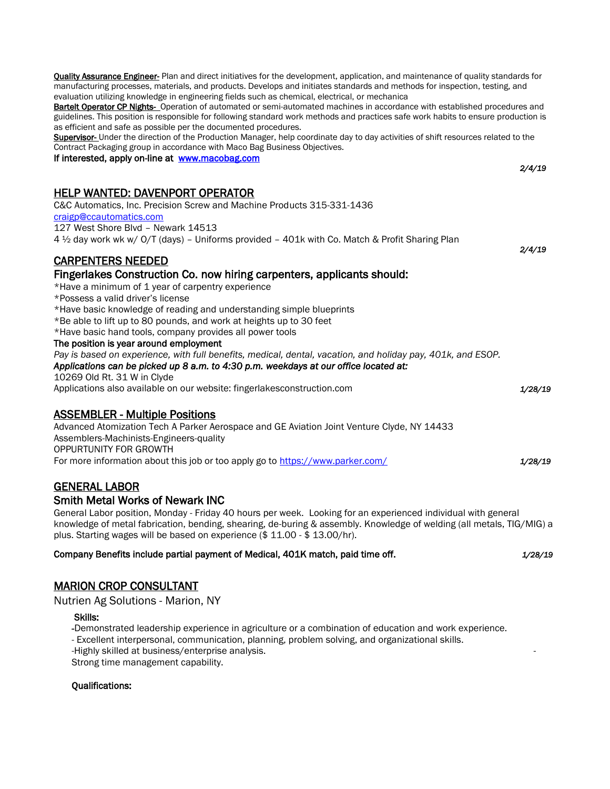| omolone and bare as possible per the abountenced propeas<br>Supervisor- Under the direction of the Production Manager, help coordinate day to day activities of shift resources related to the |         |
|------------------------------------------------------------------------------------------------------------------------------------------------------------------------------------------------|---------|
| Contract Packaging group in accordance with Maco Bag Business Objectives.                                                                                                                      |         |
| If interested, apply on-line at www.macobag.com                                                                                                                                                | 2/4/19  |
| <b>HELP WANTED: DAVENPORT OPERATOR</b>                                                                                                                                                         |         |
| C&C Automatics, Inc. Precision Screw and Machine Products 315-331-1436                                                                                                                         |         |
| craigp@ccautomatics.com                                                                                                                                                                        |         |
| 127 West Shore Blvd - Newark 14513                                                                                                                                                             |         |
| 4 1/2 day work wk w/ O/T (days) - Uniforms provided - 401k with Co. Match & Profit Sharing Plan                                                                                                |         |
|                                                                                                                                                                                                | 2/4/19  |
| <b>CARPENTERS NEEDED</b>                                                                                                                                                                       |         |
| Fingerlakes Construction Co. now hiring carpenters, applicants should:                                                                                                                         |         |
| *Have a minimum of 1 year of carpentry experience                                                                                                                                              |         |
| *Possess a valid driver's license                                                                                                                                                              |         |
| *Have basic knowledge of reading and understanding simple blueprints                                                                                                                           |         |
| *Be able to lift up to 80 pounds, and work at heights up to 30 feet                                                                                                                            |         |
| *Have basic hand tools, company provides all power tools                                                                                                                                       |         |
| The position is year around employment                                                                                                                                                         |         |
| Pay is based on experience, with full benefits, medical, dental, vacation, and holiday pay, 401k, and ESOP.                                                                                    |         |
| Applications can be picked up 8 a.m. to 4:30 p.m. weekdays at our office located at:                                                                                                           |         |
| 10269 Old Rt. 31 W in Clyde                                                                                                                                                                    |         |
| Applications also available on our website: fingerlakesconstruction.com                                                                                                                        | 1/28/19 |
| <b>ASSEMBLER - Multiple Positions</b>                                                                                                                                                          |         |
| Advanced Atomization Tech A Parker Aerospace and GE Aviation Joint Venture Clyde, NY 14433                                                                                                     |         |
| Assemblers-Machinists-Engineers-quality                                                                                                                                                        |         |
| OPPURTUNITY FOR GROWTH                                                                                                                                                                         |         |
| For more information about this job or too apply go to https://www.parker.com/                                                                                                                 | 1/28/19 |
| <b>GENERAL LABOR</b>                                                                                                                                                                           |         |
| <b>Smith Metal Works of Newark INC</b>                                                                                                                                                         |         |
| General Labor position, Monday - Friday 40 hours per week. Looking for an experienced individual with general                                                                                  |         |
| knowledge of metal fabrication, bending, shearing, de-buring & assembly. Knowledge of welding (all metals, TIG/MIG) a                                                                          |         |
| plus. Starting wages will be based on experience (\$ 11.00 - \$ 13.00/hr).                                                                                                                     |         |

Quality Assurance Engineer- Plan and direct initiatives for the development, application, and maintenance of quality standards for manufacturing processes, materials, and products. Develops and initiates standards and methods for inspection, testing, and

Bartelt Operator CP Nights- Operation of automated or semi-automated machines in accordance with established procedures and guidelines. This position is responsible for following standard work methods and practices safe work habits to ensure production is

evaluation utilizing knowledge in engineering fields such as chemical, electrical, or mechanica

as efficient and safe as possible per the documented procedures.

#### Company Benefits include partial payment of Medical, 401K match, paid time off. *1/28/19*

#### MARION CROP CONSULTANT

[Nutrien Ag Solutions](https://www.indeed.com/cmp/Nutrien-Ag-Solutions) - Marion, NY

#### Skills:

-Demonstrated leadership experience in agriculture or a combination of education and work experience.

- Excellent interpersonal, communication, planning, problem solving, and organizational skills.

-Highly skilled at business/enterprise analysis. -

Strong time management capability.

#### Qualifications: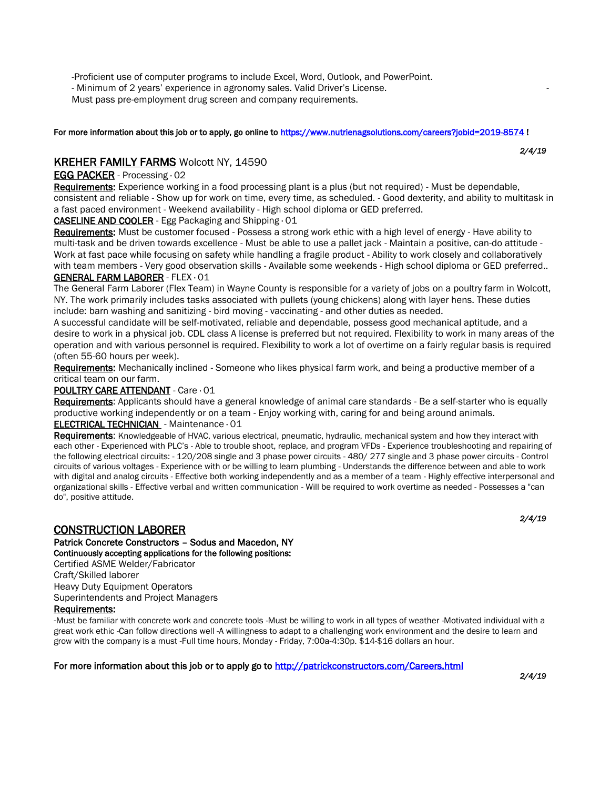-Proficient use of computer programs to include Excel, Word, Outlook, and PowerPoint.

- Minimum of 2 years' experience in agronomy sales. Valid Driver's License.

Must pass pre-employment drug screen and company requirements.

#### For more information about this job or to apply, go online t[o https://www.nutrienagsolutions.com/careers?jobid=2019-8574](https://www.nutrienagsolutions.com/careers?jobid=2019-8574) !

# KREHER FAMILY FARMS Wolcott NY, 14590

#### EGG PACKER - Processing · 02

Requirements: Experience working in a food processing plant is a plus (but not required) - Must be dependable, consistent and reliable - Show up for work on time, every time, as scheduled. - Good dexterity, and ability to multitask in a fast paced environment - Weekend availability - High school diploma or GED preferred.

#### CASELINE AND COOLER - Egg Packaging and Shipping · 01

Requirements: Must be customer focused - Possess a strong work ethic with a high level of energy - Have ability to multi-task and be driven towards excellence - Must be able to use a pallet jack - Maintain a positive, can-do attitude - Work at fast pace while focusing on safety while handling a fragile product - Ability to work closely and collaboratively with team members - Very good observation skills - Available some weekends - High school diploma or GED preferred.. GENERAL FARM LABORER - FLEX · 01

The General Farm Laborer (Flex Team) in Wayne County is responsible for a variety of jobs on a poultry farm in Wolcott, NY. The work primarily includes tasks associated with pullets (young chickens) along with layer hens. These duties include: barn washing and sanitizing - bird moving - vaccinating - and other duties as needed.

A successful candidate will be self-motivated, reliable and dependable, possess good mechanical aptitude, and a desire to work in a physical job. CDL class A license is preferred but not required. Flexibility to work in many areas of the operation and with various personnel is required. Flexibility to work a lot of overtime on a fairly regular basis is required (often 55-60 hours per week).

Requirements: Mechanically inclined - Someone who likes physical farm work, and being a productive member of a critical team on our farm.

#### POULTRY CARE ATTENDANT - Care · 01

Requirements: Applicants should have a general knowledge of animal care standards - Be a self-starter who is equally productive working independently or on a team - Enjoy working with, caring for and being around animals.

#### [ELECTRICAL TECHNICIAN](https://krehers.workable.com/j/3D4B11B1C6) - Maintenance · 01

Requirements: Knowledgeable of HVAC, various electrical, pneumatic, hydraulic, mechanical system and how they interact with each other - Experienced with PLC's - Able to trouble shoot, replace, and program VFDs - Experience troubleshooting and repairing of the following electrical circuits: - 120/208 single and 3 phase power circuits - 480/ 277 single and 3 phase power circuits - Control circuits of various voltages - Experience with or be willing to learn plumbing - Understands the difference between and able to work with digital and analog circuits - Effective both working independently and as a member of a team - Highly effective interpersonal and organizational skills - Effective verbal and written communication - Will be required to work overtime as needed - Possesses a "can do", positive attitude.

## CONSTRUCTION LABORER

Patrick Concrete Constructors – Sodus and Macedon, NY Continuously accepting applications for the following positions:

Certified ASME Welder/Fabricator

Craft/Skilled laborer

Heavy Duty Equipment Operators Superintendents and Project Managers

#### Requirements:

-Must be familiar with concrete work and concrete tools -Must be willing to work in all types of weather -Motivated individual with a great work ethic -Can follow directions well -A willingness to adapt to a challenging work environment and the desire to learn and grow with the company is a must -Full time hours, Monday - Friday, 7:00a-4:30p. \$14-\$16 dollars an hour.

For more information about this job or to apply go to http://patrickconstructors.com/Careers.html *2/4/19*

*2/4/19*

*2/4/19*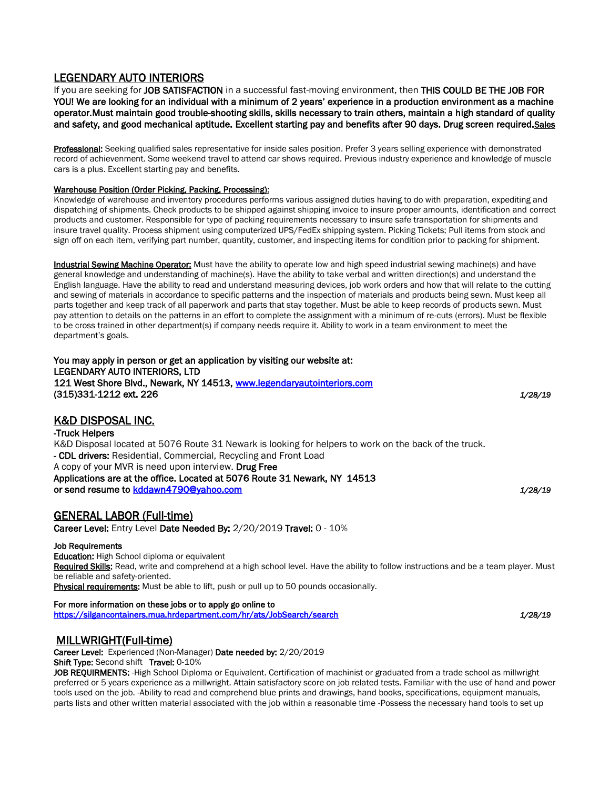# LEGENDARY AUTO INTERIORS

If you are seeking for JOB SATISFACTION in a successful fast-moving environment, then THIS COULD BE THE JOB FOR YOU! We are looking for an individual with a minimum of 2 years' experience in a production environment as a machine operator.Must maintain good trouble-shooting skills, skills necessary to train others, maintain a high standard of quality and safety, and good mechanical aptitude. Excellent starting pay and benefits after 90 days. Drug screen required.Sales

Professional: Seeking qualified sales representative for inside sales position. Prefer 3 years selling experience with demonstrated record of achievenment. Some weekend travel to attend car shows required. Previous industry experience and knowledge of muscle cars is a plus. Excellent starting pay and benefits.

#### Warehouse Position (Order Picking, Packing, Processing):

Knowledge of warehouse and inventory procedures performs various assigned duties having to do with preparation, expediting and dispatching of shipments. Check products to be shipped against shipping invoice to insure proper amounts, identification and correct products and customer. Responsible for type of packing requirements necessary to insure safe transportation for shipments and insure travel quality. Process shipment using computerized UPS/FedEx shipping system. Picking Tickets; Pull items from stock and sign off on each item, verifying part number, quantity, customer, and inspecting items for condition prior to packing for shipment.

Industrial Sewing Machine Operator: Must have the ability to operate low and high speed industrial sewing machine(s) and have general knowledge and understanding of machine(s). Have the ability to take verbal and written direction(s) and understand the English language. Have the ability to read and understand measuring devices, job work orders and how that will relate to the cutting and sewing of materials in accordance to specific patterns and the inspection of materials and products being sewn. Must keep all parts together and keep track of all paperwork and parts that stay together. Must be able to keep records of products sewn. Must pay attention to details on the patterns in an effort to complete the assignment with a minimum of re-cuts (errors). Must be flexible to be cross trained in other department(s) if company needs require it. Ability to work in a team environment to meet the department's goals.

You may apply in person or get an application by visiting our website at: LEGENDARY AUTO INTERIORS, LTD 121 West Shore Blvd., Newark, NY 14513, www.legendaryautointeriors.com (315)331-1212 ext. 226 *1/28/19*

## K&D DISPOSAL INC.

#### -Truck Helpers

K&D Disposal located at 5076 Route 31 Newark is looking for helpers to work on the back of the truck. - CDL drivers: Residential, Commercial, Recycling and Front Load A copy of your MVR is need upon interview. Drug Free Applications are at the office. Located at 5076 Route 31 Newark, NY 14513 or send resume to [kddawn4790@yahoo.com](mailto:kddawn4790@yahoo.com) *1/28/19*

GENERAL LABOR (Full-time)

Career Level: Entry Level Date Needed By: 2/20/2019 Travel: 0 - 10%

#### Job Requirements

**Education:** High School diploma or equivalent Required Skills: Read, write and comprehend at a high school level. Have the ability to follow instructions and be a team player. Must be reliable and safety-oriented. Physical requirements: Must be able to lift, push or pull up to 50 pounds occasionally.

#### For more information on these jobs or to apply go online to

<https://silgancontainers.mua.hrdepartment.com/hr/ats/JobSearch/search>*1/28/19*

## MILLWRIGHT(Full-time)

Career Level: Experienced (Non-Manager) Date needed by: 2/20/2019

Shift Type: Second shift Travel: 0-10%

JOB REQUIRMENTS: -High School Diploma or Equivalent. Certification of machinist or graduated from a trade school as millwright preferred or 5 years experience as a millwright. Attain satisfactory score on job related tests. Familiar with the use of hand and power tools used on the job. -Ability to read and comprehend blue prints and drawings, hand books, specifications, equipment manuals, parts lists and other written material associated with the job within a reasonable time -Possess the necessary hand tools to set up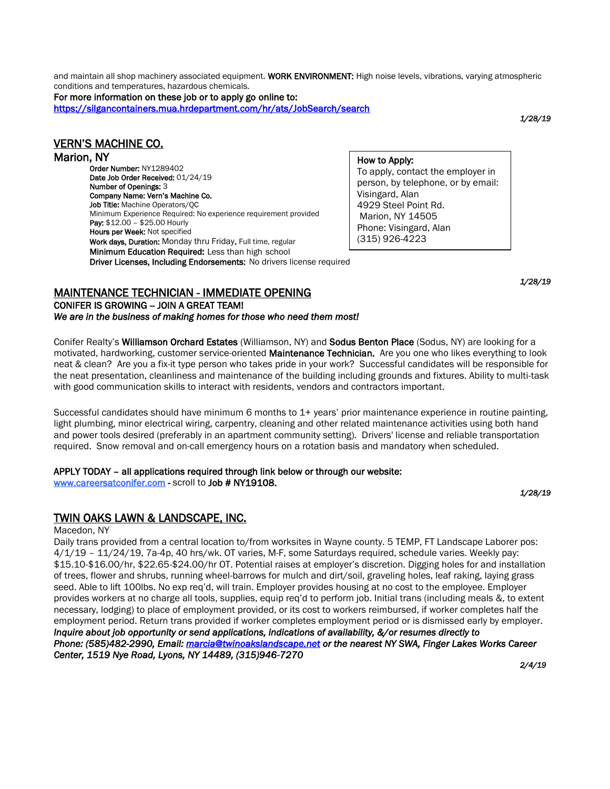and maintain all shop machinery associated equipment. WORK ENVIRONMENT: High noise levels, vibrations, varying atmospheric conditions and temperatures, hazardous chemicals.

For more information on these job or to apply go online to: <https://silgancontainers.mua.hrdepartment.com/hr/ats/JobSearch/search>

*1/28/19*

# VERN'S MACHINE CO.

### Marion, NY

Order Number: NY1289402 Date Job Order Received: 01/24/19 Number of Openings: 3 Company Name: Vern's Machine Co. Job Title: Machine Operators/OC Minimum Experience Required: No experience requirement provided Pay: \$12.00 - \$25.00 Hourly Hours per Week: Not specified Work days, Duration: Monday thru Friday. Full time, regular Minimum Education Required: Less than high school Driver Licenses, Including Endorsements: No drivers license required

How to Apply: To apply, contact the employer in person, by telephone, or by email: Visingard, Alan 4929 Steel Point Rd. Marion, NY 14505 Phone: Visingard, Alan (315) 926-4223

Email: [verns@hughes.net](mailto:verns@hughes.net)

#### *1/28/19*  MAINTENANCE TECHNICIAN - IMMEDIATE OPENING

#### CONIFER IS GROWING - JOIN A GREAT TEAM!

*We are in the business of making homes for those who need them most!* 

Conifer Realty's Williamson Orchard Estates (Williamson, NY) and Sodus Benton Place (Sodus, NY) are looking for a motivated, hardworking, customer service-oriented Maintenance Technician. Are you one who likes everything to look neat & clean? Are you a fix-it type person who takes pride in your work? Successful candidates will be responsible for the neat presentation, cleanliness and maintenance of the building including grounds and fixtures. Ability to multi-task with good communication skills to interact with residents, vendors and contractors important.

Successful candidates should have minimum 6 months to 1+ years' prior maintenance experience in routine painting, light plumbing, minor electrical wiring, carpentry, cleaning and other related maintenance activities using both hand and power tools desired (preferably in an apartment community setting). Drivers' license and reliable transportation required. Snow removal and on-call emergency hours on a rotation basis and mandatory when scheduled.

# APPLY TODAY – all applications required through link below or through our website:

[www.careersatconifer.com](http://www.careersatconifer.com/) - scroll to Job # NY19108.

*1/28/19* 

# TWIN OAKS LAWN & LANDSCAPE, INC.

#### Macedon, NY

Daily trans provided from a central location to/from worksites in Wayne county. 5 TEMP, FT Landscape Laborer pos: 4/1/19 – 11/24/19, 7a-4p, 40 hrs/wk. OT varies, M-F, some Saturdays required, schedule varies. Weekly pay: \$15.10-\$16.00/hr, \$22.65-\$24.00/hr OT. Potential raises at employer's discretion. Digging holes for and installation of trees, flower and shrubs, running wheel-barrows for mulch and dirt/soil, graveling holes, leaf raking, laying grass seed. Able to lift 100lbs. No exp req'd, will train. Employer provides housing at no cost to the employee. Employer provides workers at no charge all tools, supplies, equip req'd to perform job. Initial trans (including meals &, to extent necessary, lodging) to place of employment provided, or its cost to workers reimbursed, if worker completes half the employment period. Return trans provided if worker completes employment period or is dismissed early by employer. *Inquire about job opportunity or send applications, indications of availability, &/or resumes directly to Phone: (585)482-2990, Email[: marcia@twinoakslandscape.net](mailto:marcia@twinoakslandscape.net) or the nearest NY SWA, Finger Lakes Works Career Center, 1519 Nye Road, Lyons, NY 14489, (315)946-7270 2/4/19*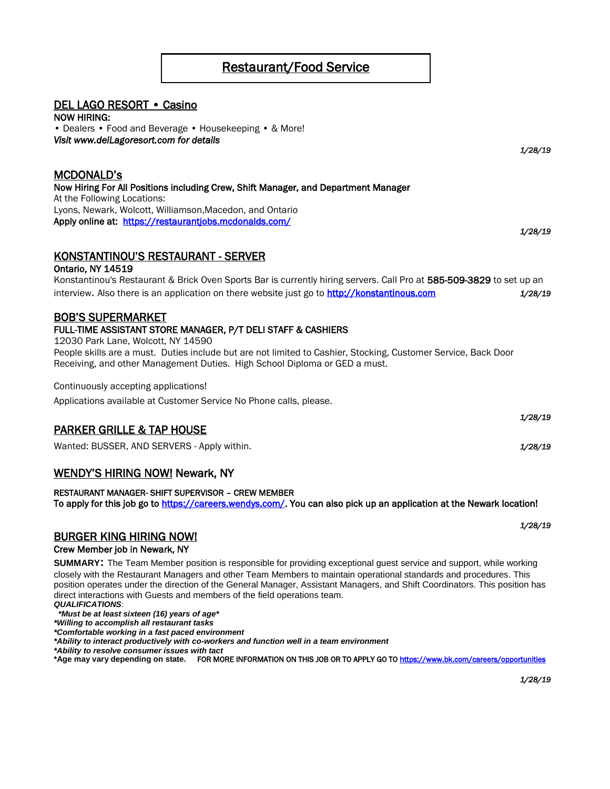# Restaurant/Food Service

## DEL LAGO RESORT • Casino

NOW HIRING: • Dealers • Food and Beverage • Housekeeping • & More! *Visit www.delLagoresort.com for details 1/28/19*

## MCDONALD's

Now Hiring For All Positions including Crew, Shift Manager, and Department Manager At the Following Locations: Lyons, Newark, Wolcott, Williamson,Macedon, and Ontario Apply online at: <https://restaurantjobs.mcdonalds.com/>

KONSTANTINOU'S RESTAURANT - SERVER

#### Ontario, NY 14519

Konstantinou's Restaurant & Brick Oven Sports Bar is currently hiring servers. Call Pro at 585-509-3829 to set up an interview. Also there is an application on there website just go to [http://konstantinous.com](http://konstantinous.com/) *1/28/19*

# BOB'S SUPERMARKET

#### FULL-TIME ASSISTANT STORE MANAGER, P/T DELI STAFF & CASHIERS

12030 Park Lane, Wolcott, NY 14590

People skills are a must. Duties include but are not limited to Cashier, Stocking, Customer Service, Back Door Receiving, and other Management Duties. High School Diploma or GED a must.

Continuously accepting applications!

Applications available at Customer Service No Phone calls, please.

# PARKER GRILLE & TAP HOUSE

Wanted: BUSSER, AND SERVERS - Apply within. *1/28/19*

# WENDY'S HIRING NOW! Newark, NY

#### RESTAURANT MANAGER- SHIFT SUPERVISOR – CREW MEMBER

To apply for this job go to [https://careers.wendys.com/.](https://careers.wendys.com/) You can also pick up an application at the Newark location!

## BURGER KING HIRING NOW!

#### Crew Member job in Newark, NY

**SUMMARY:** The Team Member position is responsible for providing exceptional guest service and support, while working closely with the Restaurant Managers and other Team Members to maintain operational standards and procedures. This position operates under the direction of the General Manager, Assistant Managers, and Shift Coordinators. This position has direct interactions with Guests and members of the field operations team.

*QUALIFICATIONS*:  *\*Must be at least sixteen (16) years of age\**

*\*Willing to accomplish all restaurant tasks*

*\*Comfortable working in a fast paced environment*

*\*Ability to interact productively with co-workers and function well in a team environment*

*\*Ability to resolve consumer issues with tact*

**\*Age may vary depending on state.** FOR MORE INFORMATION ON THIS JOB OR TO APPLY GO T[O https://www.bk.com/careers/opportunities](https://www.bk.com/careers/opportunities) 

*1/28/19* 

*1/28/19* 

*1/28/19*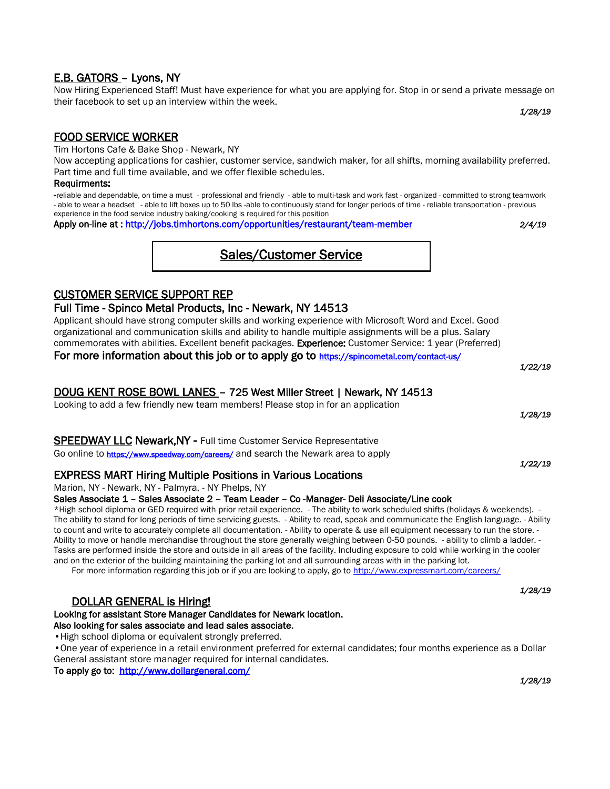Now Hiring Experienced Staff! Must have experience for what you are applying for. Stop in or send a private message on their facebook to set up an interview within the week.

*1/28/19*

# FOOD SERVICE WORKER

E.B. GATORS – Lyons, NY

Tim Hortons Cafe & Bake Shop - Newark, NY

Now accepting applications for cashier, customer service, sandwich maker, for all shifts, morning availability preferred. Part time and full time available, and we offer flexible schedules.

#### Requirments:

-reliable and dependable, on time a must - professional and friendly - able to multi-task and work fast - organized - committed to strong teamwork - able to wear a headset - able to lift boxes up to 50 lbs -able to continuously stand for longer periods of time - reliable transportation - previous experience in the food service industry baking/cooking is required for this position

Apply on-line at :<http://jobs.timhortons.com/opportunities/restaurant/team-member> *2/4/19*

*1/22/19*

*1/22/19* 

# Sales/Customer Service

# CUSTOMER SERVICE SUPPORT REP

# Full Time - Spinco Metal Products, Inc - Newark, NY 14513

Applicant should have strong computer skills and working experience with Microsoft Word and Excel. Good organizational and communication skills and ability to handle multiple assignments will be a plus. Salary commemorates with abilities. Excellent benefit packages. Experience: Customer Service: 1 year (Preferred) For more information about this job or to apply go to <https://spincometal.com/contact-us/>

# DOUG KENT ROSE BOWL LANES – 725 West Miller Street | Newark, NY 14513

Looking to add a few friendly new team members! Please stop in for an application *1/28/19* 

SPEEDWAY LLC Newark,NY - Full time Customer Service Representative

Go online to <https://www.speedway.com/careers/> and search the Newark area to apply

# EXPRESS MART Hiring Multiple Positions in Various Locations

Marion, NY - Newark, NY - Palmyra, - NY Phelps, NY

## Sales Associate 1 – Sales Associate 2 – Team Leader – Co -Manager- Deli Associate/Line cook

\*High school diploma or GED required with prior retail experience. - The ability to work scheduled shifts (holidays & weekends). - The ability to stand for long periods of time servicing guests. - Ability to read, speak and communicate the English language. - Ability to count and write to accurately complete all documentation. - Ability to operate & use all equipment necessary to run the store. - Ability to move or handle merchandise throughout the store generally weighing between 0-50 pounds. - ability to climb a ladder. - Tasks are performed inside the store and outside in all areas of the facility. Including exposure to cold while working in the cooler and on the exterior of the building maintaining the parking lot and all surrounding areas with in the parking lot.

For more information regarding this job or if you are looking to apply, go t[o http://www.expressmart.com/careers/](http://www.expressmart.com/careers/)

#### *1/28/19*  DOLLAR GENERAL is Hiring!

#### Looking for assistant Store Manager Candidates for Newark location. Also looking for sales associate and lead sales associate.

•High school diploma or equivalent strongly preferred.

•One year of experience in a retail environment preferred for external candidates; four months experience as a Dollar General assistant store manager required for internal candidates.

To apply go to: http://www.dollargeneral.com/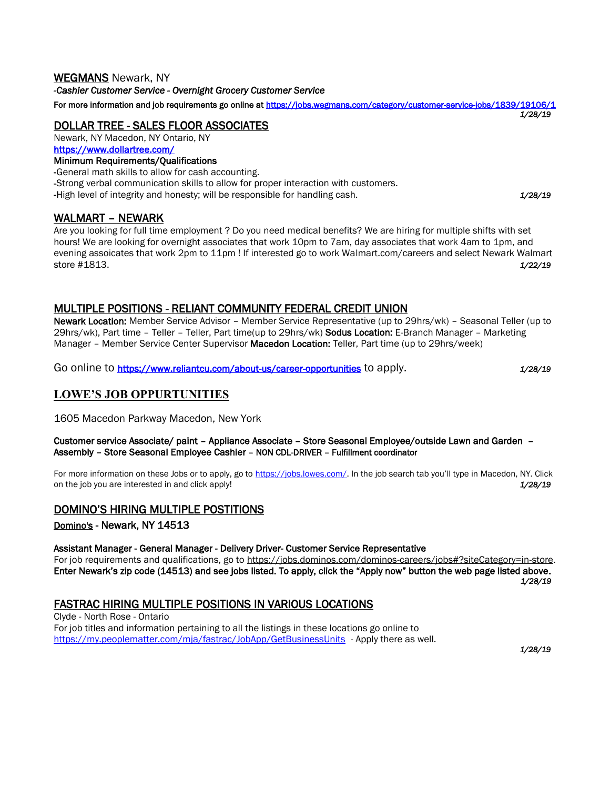## WEGMANS Newark, NY

*[-Cashier Customer Service](https://jobs.wegmans.com/job/newark/cashier-customer-service/1839/10527477) [- Overnight Grocery Customer Service](https://jobs.wegmans.com/job/newark/cashier-customer-service/1839/10527477)*

For more information and job requirements go online at<https://jobs.wegmans.com/category/customer-service-jobs/1839/19106/1> *1/28/19*

# DOLLAR TREE - SALES FLOOR ASSOCIATES

Newark, NY Macedon, NY Ontario, NY <https://www.dollartree.com/>

# Minimum Requirements/Qualifications

-General math skills to allow for cash accounting.

-Strong verbal communication skills to allow for proper interaction with customers.

-High level of integrity and honesty; will be responsible for handling cash. *1/28/19*

# WALMART – NEWARK

Are you looking for full time employment ? Do you need medical benefits? We are hiring for multiple shifts with set hours! We are looking for overnight associates that work 10pm to 7am, day associates that work 4am to 1pm, and evening assoicates that work 2pm to 11pm ! If interested go to work Walmart.com/careers and select Newark Walmart store #1813. *1/22/19*

# MULTIPLE POSITIONS - RELIANT COMMUNITY FEDERAL CREDIT UNION

Newark Location: Member Service Advisor – Member Service Representative (up to 29hrs/wk) – Seasonal Teller (up to 29hrs/wk), Part time – Teller – Teller, Part time(up to 29hrs/wk) Sodus Location: E-Branch Manager – Marketing Manager – Member Service Center Supervisor Macedon Location: Teller, Part time (up to 29hrs/week)

Go online to <https://www.reliantcu.com/about-us/career-opportunities> to apply. *1/28/19*

# **LOWE'S JOB OPPURTUNITIES**

1605 Macedon Parkway Macedon, New York

#### Customer service Associate/ paint – Appliance Associate – [Store Seasonal Employee/outside Lawn and Garden](https://jobs.lowes.com/job/macedon/store-seasonal-employee-assembly/1627/10467603) – [Assembly](https://jobs.lowes.com/job/macedon/store-seasonal-employee-assembly/1627/10467603) – [Store Seasonal Employee Cashier](https://jobs.lowes.com/job/macedon/store-seasonal-employee-cashier/1627/10467641) – NON CDL-DRIVER – Fulfillment coordinator

For more information on these Jobs or to apply, go to [https://jobs.lowes.com/.](https://jobs.lowes.com/) In the job search tab you'll type in Macedon, NY. Click on the job you are interested in and click apply! *1/28/19*

# DOMINO'S HIRING MULTIPLE POSTITIONS

[Domino's](https://www.indeed.com/cmp/Domino) - Newark, NY 14513

#### [Assistant Manager -](https://jobs.dominos.com/dominos-careers/job-listing/assistant-manager-03487----241-e-union-st/newark-ny/18648BR) [General Manager -](https://jobs.dominos.com/dominos-careers/job-listing/general-manager-03487----241-e-union-st/newark-ny/18647BR) [Delivery Driver-](https://jobs.dominos.com/dominos-careers/job-listing/delivery-driver-03487----241-e-union-st/newark-ny/18646BR) [Customer Service Repr](https://jobs.dominos.com/dominos-careers/job-listing/customer-service-rep-03487----241-e-union-st/newark-ny/18645BR)esentative

For job requirements and qualifications, go to https://jobs.dominos.com/dominos-careers/jobs#?siteCategory=in-store. Enter Newark's zip code (14513) and see jobs listed. To apply, click the "Apply now" button the web page listed above. *1/28/19* 

# FASTRAC HIRING MULTIPLE POSITIONS IN VARIOUS LOCATIONS

Clyde - North Rose - Ontario For job titles and information pertaining to all the listings in these locations go online to <https://my.peoplematter.com/mja/fastrac/JobApp/GetBusinessUnits> - Apply there as well. *1/28/19*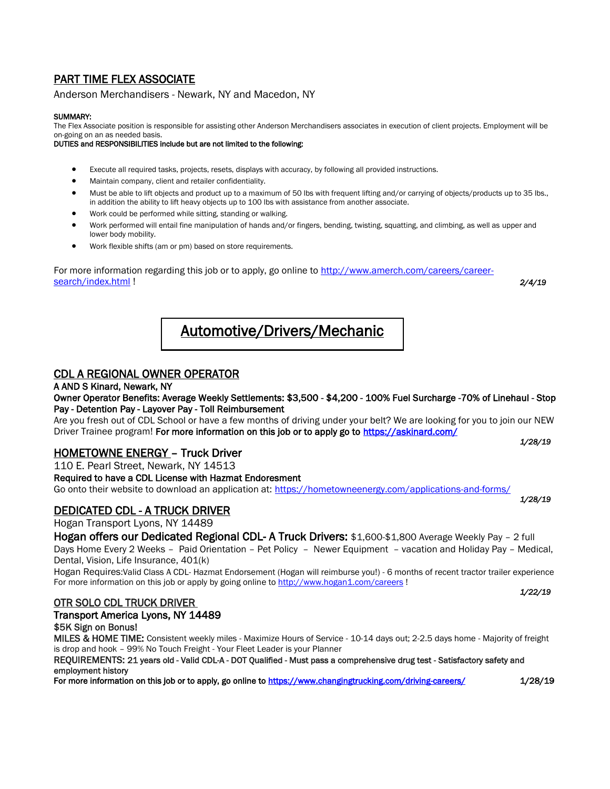# PART TIME FLEX ASSOCIATE

[Anderson Merchandisers](https://www.indeed.com/cmp/Anderson-Merchandisers) - Newark, NY and Macedon, NY

#### SUMMARY:

The Flex Associate position is responsible for assisting other Anderson Merchandisers associates in execution of client projects. Employment will be on-going on an as needed basis.

DUTIES and RESPONSIBILITIES include but are not limited to the following:

- Execute all required tasks, projects, resets, displays with accuracy, by following all provided instructions.
- Maintain company, client and retailer confidentiality.
- Must be able to lift objects and product up to a maximum of 50 lbs with frequent lifting and/or carrying of objects/products up to 35 lbs., in addition the ability to lift heavy objects up to 100 lbs with assistance from another associate.
- Work could be performed while sitting, standing or walking.
- Work performed will entail fine manipulation of hands and/or fingers, bending, twisting, squatting, and climbing, as well as upper and lower body mobility.
- Work flexible shifts (am or pm) based on store requirements.

For more information regarding this job or to apply, go online to [http://www.amerch.com/careers/career](http://www.amerch.com/careers/career-search/index.html)[search/index.html](http://www.amerch.com/careers/career-search/index.html) ! *2/4/19*

# Automotive/Drivers/Mechanic

# CDL A REGIONAL OWNER OPERATOR

#### A AND S Kinard, Newark, NY

### Owner Operator Benefits: Average Weekly Settlements: \$3,500 - \$4,200 - 100% Fuel Surcharge -70% of Linehaul - Stop Pay - Detention Pay - Layover Pay - Toll Reimbursement

Are you fresh out of CDL School or have a few months of driving under your belt? We are looking for you to join our NEW Driver Trainee program! For more information on this job or to apply go to https://askinard.com/ *1/28/19*

# HOMETOWNE ENERGY – Truck Driver

110 E. Pearl Street, Newark, NY 14513

Required to have a CDL License with Hazmat Endoresment

Go onto their website to download an application at:<https://hometowneenergy.com/applications-and-forms/>

# DEDICATED CDL - A TRUCK DRIVER

Hogan Transport Lyons, NY 14489

Hogan offers our Dedicated Regional CDL- A Truck Drivers: \$1,600-\$1,800 Average Weekly Pay - 2 full

Days Home Every 2 Weeks – Paid Orientation – Pet Policy – Newer Equipment – vacation and Holiday Pay – Medical, Dental, Vision, Life Insurance, 401(k)

Hogan Requires:Valid Class A CDL- Hazmat Endorsement (Hogan will reimburse you!) - 6 months of recent tractor trailer experience For more information on this job or apply by going online t[o http://www.hogan1.com/careers](http://www.hogan1.com/careers) !

## OTR SOLO CDL TRUCK DRIVER

#### Transport America Lyons, NY 14489

#### \$5K Sign on Bonus!

MILES & HOME TIME: Consistent weekly miles - Maximize Hours of Service - 10-14 days out; 2-2.5 days home - Majority of freight is drop and hook – 99% No Touch Freight - Your Fleet Leader is your Planner

REQUIREMENTS: 21 years old - Valid CDL-A - DOT Qualified - Must pass a comprehensive drug test - Satisfactory safety and employment history

For more information on this job or to apply, go online to<https://www.changingtrucking.com/driving-careers/>1/28/19

*1/28/19*

*1/22/19*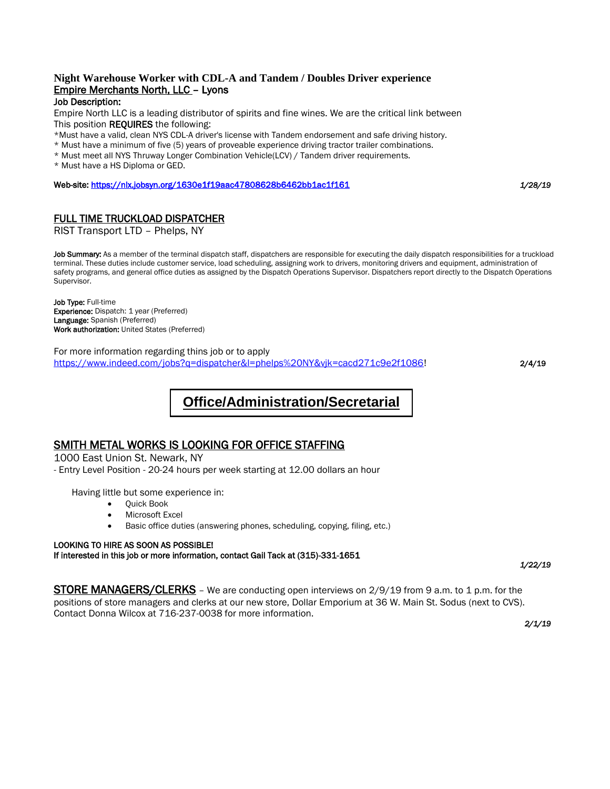#### **Night Warehouse Worker with CDL-A and Tandem / Doubles Driver experience**  Empire Merchants North, LLC – Lyons Job Description:

Empire North LLC is a leading distributor of spirits and fine wines. We are the critical link between This position **REQUIRES** the following:

\*Must have a valid, clean NYS CDL-A driver's license with Tandem endorsement and safe driving history.

\* Must have a minimum of five (5) years of proveable experience driving tractor trailer combinations.

\* Must meet all NYS Thruway Longer Combination Vehicle(LCV) / Tandem driver requirements.

\* Must have a HS Diploma or GED.

Web-site[: https://nlx.jobsyn.org/1630e1f19aac47808628b6462bb1ac1f161](https://nlx.jobsyn.org/1630e1f19aac47808628b6462bb1ac1f161) *1/28/19*

## FULL TIME TRUCKLOAD DISPATCHER

[RIST Transport LTD](https://www.indeed.com/cmp/Rist-Transport-Ltd) – Phelps, NY

Job Summary: As a member of the terminal dispatch staff, dispatchers are responsible for executing the daily dispatch responsibilities for a truckload terminal. These duties include customer service, load scheduling, assigning work to drivers, monitoring drivers and equipment, administration of safety programs, and general office duties as assigned by the Dispatch Operations Supervisor. Dispatchers report directly to the Dispatch Operations Supervisor.

Job Type: Full-time Experience: Dispatch: 1 year (Preferred) Language: Spanish (Preferred) Work authorization: United States (Preferred)

For more information regarding thins job or to apply [https://www.indeed.com/jobs?q=dispatcher&l=phelps%20NY&vjk=cacd271c9e2f1086!](https://www.indeed.com/jobs?q=dispatcher&l=phelps%20NY&vjk=cacd271c9e2f1086) 2/4/19

# **Office/Administration/Secretarial**

## SMITH METAL WORKS IS LOOKING FOR OFFICE STAFFING

1000 East Union St. Newark, NY

- Entry Level Position - 20-24 hours per week starting at 12.00 dollars an hour

Having little but some experience in:

- Quick Book
- Microsoft Excel
- Basic office duties (answering phones, scheduling, copying, filing, etc.)

#### LOOKING TO HIRE AS SOON AS POSSIBLE!

If interested in this job or more information, contact Gail Tack at (315)-331-1651 *1/22/19* 

**STORE MANAGERS/CLERKS** – We are conducting open interviews on 2/9/19 from 9 a.m. to 1 p.m. for the positions of store managers and clerks at our new store, Dollar Emporium at 36 W. Main St. Sodus (next to CVS). Contact Donna Wilcox at 716-237-0038 for more information.

*2/1/19*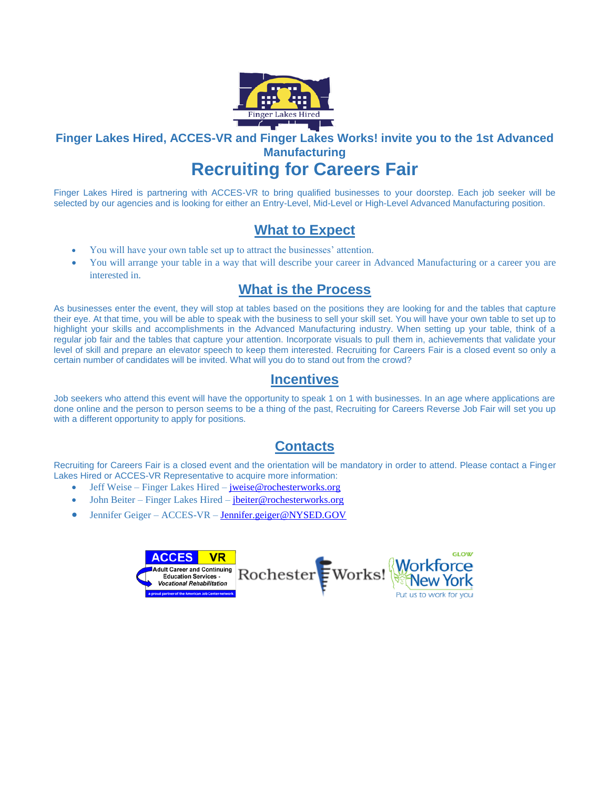

# **Finger Lakes Hired, ACCES-VR and Finger Lakes Works! invite you to the 1st Advanced Manufacturing**

# **Recruiting for Careers Fair**

Finger Lakes Hired is partnering with ACCES-VR to bring qualified businesses to your doorstep. Each job seeker will be selected by our agencies and is looking for either an Entry-Level, Mid-Level or High-Level Advanced Manufacturing position.

# **What to Expect**

- You will have your own table set up to attract the businesses' attention.
- You will arrange your table in a way that will describe your career in Advanced Manufacturing or a career you are interested in.

# **What is the Process**

As businesses enter the event, they will stop at tables based on the positions they are looking for and the tables that capture their eye. At that time, you will be able to speak with the business to sell your skill set. You will have your own table to set up to highlight your skills and accomplishments in the Advanced Manufacturing industry. When setting up your table, think of a regular job fair and the tables that capture your attention. Incorporate visuals to pull them in, achievements that validate your level of skill and prepare an elevator speech to keep them interested. Recruiting for Careers Fair is a closed event so only a certain number of candidates will be invited. What will you do to stand out from the crowd?

# **Incentives**

Job seekers who attend this event will have the opportunity to speak 1 on 1 with businesses. In an age where applications are done online and the person to person seems to be a thing of the past, Recruiting for Careers Reverse Job Fair will set you up with a different opportunity to apply for positions.

# **Contacts**

Recruiting for Careers Fair is a closed event and the orientation will be mandatory in order to attend. Please contact a Finger Lakes Hired or ACCES-VR Representative to acquire more information:

- Jeff Weise Finger Lakes Hired [jweise@rochesterworks.org](mailto:jweise@rochesterworks.org)
- John Beiter Finger Lakes Hired [jbeiter@rochesterworks.org](mailto:jbeiter@rochesterworks.org)
- Jennifer Geiger ACCES-VR [Jennifer.geiger@NYSED.GOV](mailto:Jennifer.geiger@NYSED.GOV)

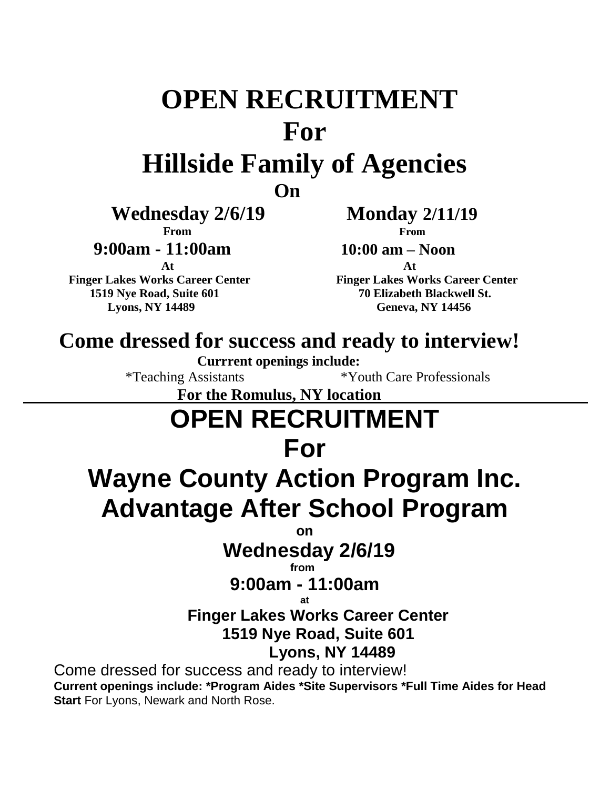# **OPEN RECRUITMENT For**

# **Hillside Family of Agencies**

*<u>Department</u>* 

 **Wednesday 2/6/19 Monday 2/11/19**

 **9:00am - 11:00am 10:00 am – Noon**

 **Finger Lakes Works Career Center Finger Lakes Works Career Center 1519 Nye Road, Suite 601 70 Elizabeth Blackwell St. Lyons, NY 14489 Geneva, NY 14456**

 **From From**

**At At**

# **Come dressed for success and ready to interview!**

**Currrent openings include:**

\*Teaching Assistants \*Youth Care Professionals

 **For the Romulus, NY location**

# **OPEN RECRUITMENT**

# **For**

# **Wayne County Action Program Inc. Advantage After School Program**

 *on the contract of the contract of the contract of the contract of the contract of the contract of the contract of the contract of the contract of the contract of the contract of the contract of the contract of the cont* 

# **Wednesday 2/6/19**

 *from from from <b>from* 

# **9:00am - 11:00am**

# **at**

# **Finger Lakes Works Career Center 1519 Nye Road, Suite 601**

# **Lyons, NY 14489**

Come dressed for success and ready to interview! **Current openings include: \*Program Aides \*Site Supervisors \*Full Time Aides for Head Start** For Lyons, Newark and North Rose.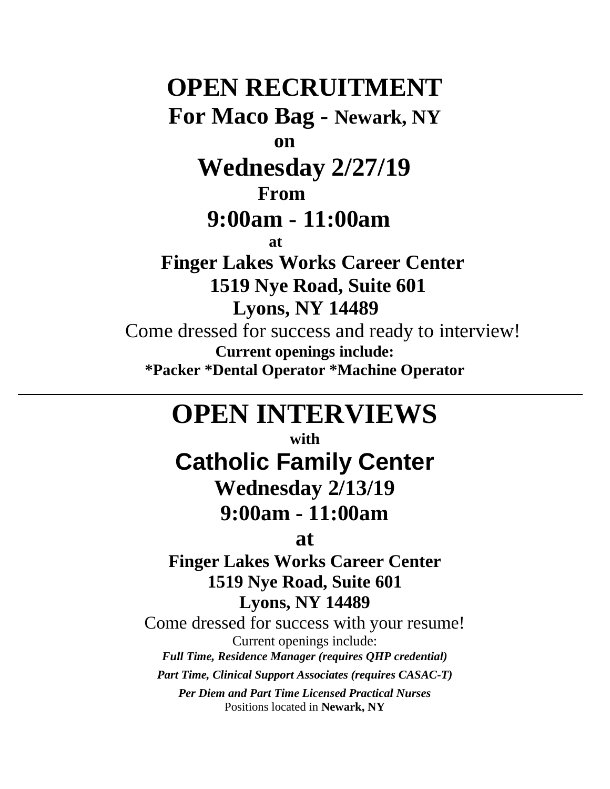# **OPEN RECRUITMENT For Maco Bag - Newark, NY on Wednesday 2/27/19 From 9:00am - 11:00am at Finger Lakes Works Career Center 1519 Nye Road, Suite 601 Lyons, NY 14489** Come dressed for success and ready to interview! **Current openings include:**

**\*Packer \*Dental Operator \*Machine Operator**

# **OPEN INTERVIEWS**

**with**

**Catholic Family Center**

**Wednesday 2/13/19**

# **9:00am - 11:00am**

**at**

**Finger Lakes Works Career Center 1519 Nye Road, Suite 601 Lyons, NY 14489**

Come dressed for success with your resume! Current openings include: *Full Time, Residence Manager (requires QHP credential)*

*Part Time, Clinical Support Associates (requires CASAC-T)*

*Per Diem and Part Time Licensed Practical Nurses* Positions located in **Newark, NY**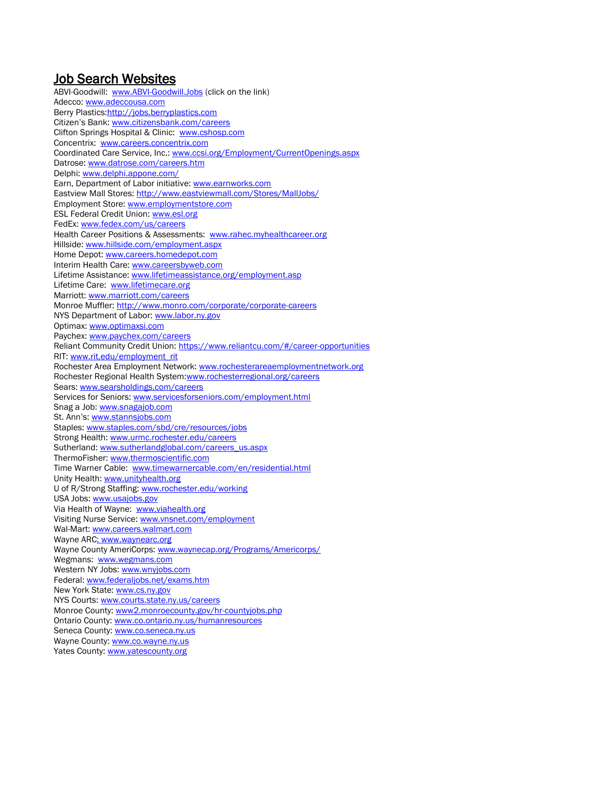# Job Search Websites

ABVI-Goodwill: [www.ABVI-Goodwill.Jobs](http://www.abvi-goodwill.jobs/) (click on the link) Adecco: [www.adeccousa.com](http://www.adeccousa.com/) Berry Plastics: http://jobs.berryplastics.com Citizen's Bank: [www.citizensbank.com/careers](http://www.citizensbank.com/careers) Clifton Springs Hospital & Clinic: [www.cshosp.com](http://www.cshosp.com/) Concentrix: [www.careers.concentrix.com](http://www.careers.concentrix.com/) Coordinated Care Service, Inc.: [www.ccsi.org/Employment/CurrentOpenings.aspx](http://www.ccsi.org/Employment/CurrentOpenings.aspx) Datrose[: www.datrose.com/careers.htm](http://www.datrose.com/careers.htm) Delphi: [www.delphi.appone.com/](http://www.delphi.appone.com/) Earn, Department of Labor initiative: [www.earnworks.com](http://www.earnworks.com/) Eastview Mall Stores:<http://www.eastviewmall.com/Stores/MallJobs/> Employment Store: [www.employmentstore.com](http://www.employmentstore.com/) ESL Federal Credit Union: [www.esl.org](http://www.esl.org/) FedEx[: www.fedex.com/us/careers](http://www.fedex.com/us/careers) Health Career Positions & Assessments: [www.rahec.myhealthcareer.org](http://www.rahec.myhealthcareer.org/) Hillside: [www.hillside.com/employment.aspx](http://www.hillside.com/employment.aspx) Home Depot: [www.careers.homedepot.com](http://www.careers.homedepot.com/) Interim Health Care[: www.careersbyweb.com](http://www.careersbyweb.com/) Lifetime Assistance: [www.lifetimeassistance.org/employment.asp](http://www.lifetimeassistance.org/employment.asp) Lifetime Care: [www.lifetimecare.org](http://www.lifetimecare.org/) Marriott: [www.marriott.com/careers](http://www.marriott.com/careers) Monroe Muffler:<http://www.monro.com/corporate/corporate-careers> NYS Department of Labor[: www.labor.ny.gov](http://www.labor.ny.gov/) Optimax[: www.optimaxsi.com](http://www.optimaxsi.com/) Paychex[: www.paychex.com/careers](http://www.paychex.com/careers) Reliant Community Credit Union[: https://www.reliantcu.com/#/career-opportunities](https://www.reliantcu.com/#/career-opportunities) RIT[: www.rit.edu/employment\\_rit](http://www.rit.edu/employment_rit) Rochester Area Employment Network[: www.rochesterareaemploymentnetwork.org](http://www.rochesterareaemploymentnetwork.org/) Rochester Regional Health System:www.rochesterregional.org/careers Sears[: www.searsholdings.com/careers](http://www.searsholdings.com/careers) Services for Seniors: [www.servicesforseniors.com/employment.html](http://www.servicesforseniors.com/employment.html) Snag a Job: [www.snagajob.com](http://www.snagajob.com/) St. Ann's: [www.stannsjobs.com](http://www.stannsjobs.com/) Staples: [www.staples.com/sbd/cre/resources/jobs](http://www.staples.com/sbd/cre/resources/jobs) Strong Health[: www.urmc.rochester.edu/careers](http://www.urmc.rochester.edu/careers) Sutherland[: www.sutherlandglobal.com/careers\\_](http://www.sutherlandglobal.com/careers)us.aspx ThermoFisher[: www.thermoscientific.com](http://www.thermoscientific.com/) Time Warner Cable: [www.timewarnercable.com/en/residential.html](http://www.timewarnercable.com/en/residential.html) Unity Health[: www.unityhealth.org](http://www.unityhealth.org/) U of R/Strong Staffing: [www.rochester.edu/working](http://www.rochester.edu/working) USA Jobs: [www.usajobs.gov](http://www.usajobs.gov/) Via Health of Wayne: [www.viahealth.org](http://www.viahealth.org/) Visiting Nurse Service[: www.vnsnet.com/employment](http://www.vnsnet.com/employment) Wal-Mart[: www.careers.walmart.com](http://www.careers.walmart.com/) Wayne ARC: www.waynearc.org Wayne County AmeriCorps[: www.waynecap.org/Programs/Americorps/](http://www.waynecap.org/Programs/Americorps/) Wegmans: [www.wegmans.com](http://www.wegmans.com/) Western NY Jobs: [www.wnyjobs.com](http://www.wnyjobs.com/) Federal: [www.federaljobs.net/exams.htm](http://www.federaljobs.net/exams.htm) New York State[: www.cs.ny.gov](http://www.cs.ny.gov/) NYS Courts: [www.courts.state.ny.us/careers](http://www.courts.state.ny.us/careers) Monroe County: [www2.monroecounty.gov/hr-countyjobs.php](http://www.monroecounty.gov/hr-countyjobs.php) Ontario County[: www.co.ontario.ny.us/humanresources](http://www.co.ontario.ny.us/humanresources) Seneca County: [www.co.seneca.ny.us](http://www.co.seneca.ny.us/) Wayne County[: www.co.wayne.ny.us](http://www.co.wayne.ny.us/) Yates County: [www.yatescounty.org](http://www.yatescounty.org/)